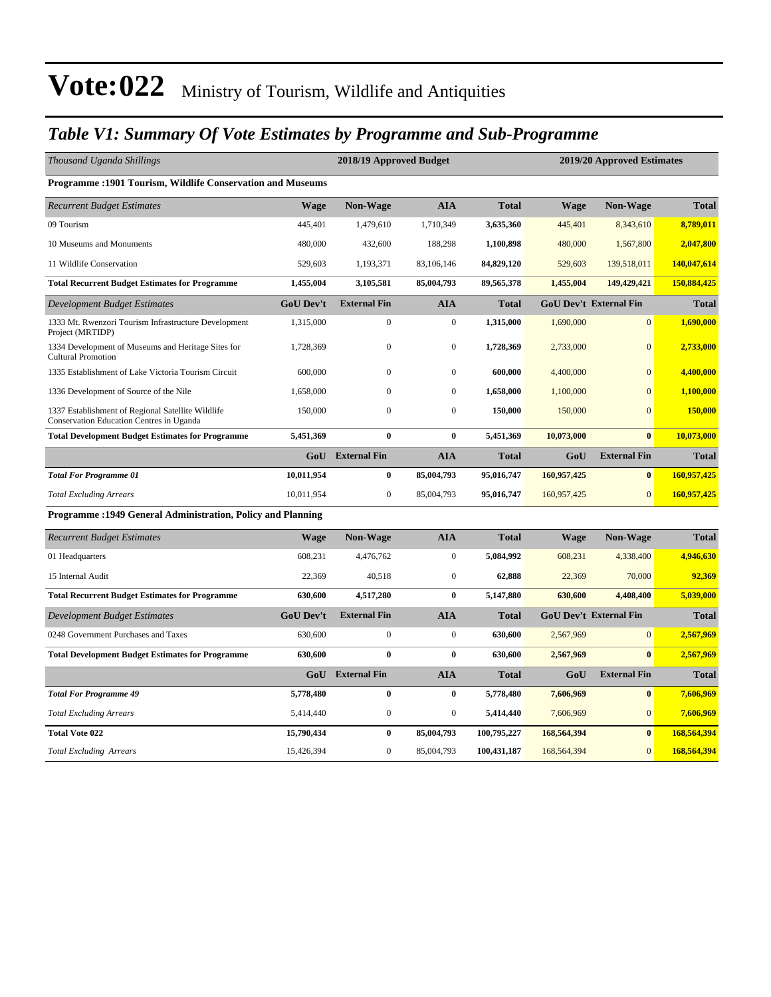#### *Table V1: Summary Of Vote Estimates by Programme and Sub-Programme*

| Thousand Uganda Shillings                                                                     |                  | 2018/19 Approved Budget<br>2019/20 Approved Estimates |                  |              |             |                               |              |
|-----------------------------------------------------------------------------------------------|------------------|-------------------------------------------------------|------------------|--------------|-------------|-------------------------------|--------------|
| <b>Programme: 1901 Tourism, Wildlife Conservation and Museums</b>                             |                  |                                                       |                  |              |             |                               |              |
| <b>Recurrent Budget Estimates</b>                                                             | Wage             | <b>Non-Wage</b>                                       | AIA              | <b>Total</b> | <b>Wage</b> | <b>Non-Wage</b>               | <b>Total</b> |
| 09 Tourism                                                                                    | 445,401          | 1,479,610                                             | 1,710,349        | 3,635,360    | 445,401     | 8,343,610                     | 8,789,011    |
| 10 Museums and Monuments                                                                      | 480,000          | 432,600                                               | 188,298          | 1,100,898    | 480,000     | 1,567,800                     | 2,047,800    |
| 11 Wildlife Conservation                                                                      | 529,603          | 1,193,371                                             | 83,106,146       | 84,829,120   | 529,603     | 139,518,011                   | 140,047,614  |
| <b>Total Recurrent Budget Estimates for Programme</b>                                         | 1,455,004        | 3,105,581                                             | 85,004,793       | 89,565,378   | 1,455,004   | 149,429,421                   | 150,884,425  |
| Development Budget Estimates                                                                  | <b>GoU Dev't</b> | <b>External Fin</b>                                   | <b>AIA</b>       | <b>Total</b> |             | <b>GoU Dev't External Fin</b> | <b>Total</b> |
| 1333 Mt. Rwenzori Tourism Infrastructure Development<br>Project (MRTIDP)                      | 1,315,000        | $\mathbf{0}$                                          | $\boldsymbol{0}$ | 1,315,000    | 1,690,000   | $\mathbf{0}$                  | 1,690,000    |
| 1334 Development of Museums and Heritage Sites for<br><b>Cultural Promotion</b>               | 1,728,369        | $\mathbf{0}$                                          | $\boldsymbol{0}$ | 1,728,369    | 2,733,000   | $\overline{0}$                | 2,733,000    |
| 1335 Establishment of Lake Victoria Tourism Circuit                                           | 600,000          | $\boldsymbol{0}$                                      | $\boldsymbol{0}$ | 600,000      | 4,400,000   | $\Omega$                      | 4,400,000    |
| 1336 Development of Source of the Nile                                                        | 1,658,000        | $\mathbf{0}$                                          | $\boldsymbol{0}$ | 1,658,000    | 1,100,000   | $\overline{0}$                | 1,100,000    |
| 1337 Establishment of Regional Satellite Wildlife<br>Conservation Education Centres in Uganda | 150,000          | $\mathbf{0}$                                          | $\mathbf{0}$     | 150,000      | 150,000     | $\overline{0}$                | 150,000      |
| <b>Total Development Budget Estimates for Programme</b>                                       | 5,451,369        | $\bf{0}$                                              | $\bf{0}$         | 5,451,369    | 10,073,000  | $\bf{0}$                      | 10,073,000   |
|                                                                                               |                  | <b>GoU</b> External Fin                               | AIA              | <b>Total</b> | GoU         | <b>External Fin</b>           | <b>Total</b> |
| <b>Total For Programme 01</b>                                                                 | 10,011,954       | $\bf{0}$                                              | 85,004,793       | 95,016,747   | 160,957,425 | $\bf{0}$                      | 160,957,425  |
| <b>Total Excluding Arrears</b>                                                                | 10,011,954       | $\mathbf{0}$                                          | 85,004,793       | 95,016,747   | 160,957,425 | $\mathbf{0}$                  | 160,957,425  |
| Programme: 1949 General Administration, Policy and Planning                                   |                  |                                                       |                  |              |             |                               |              |
| <b>Recurrent Budget Estimates</b>                                                             | <b>Wage</b>      | <b>Non-Wage</b>                                       | AIA              | <b>Total</b> | Wage        | <b>Non-Wage</b>               | <b>Total</b> |
| 01 Headquarters                                                                               | 608,231          | 4,476,762                                             | $\mathbf{0}$     | 5,084,992    | 608,231     | 4,338,400                     | 4,946,630    |
| 15 Internal Audit                                                                             | 22,369           | 40,518                                                | $\boldsymbol{0}$ | 62,888       | 22,369      | 70,000                        | 92,369       |
| <b>Total Recurrent Budget Estimates for Programme</b>                                         | 630,600          | 4,517,280                                             | $\bf{0}$         | 5,147,880    | 630,600     | 4,408,400                     | 5,039,000    |
| <b>Development Budget Estimates</b>                                                           | <b>GoU Dev't</b> | <b>External Fin</b>                                   | <b>AIA</b>       | <b>Total</b> |             | <b>GoU Dev't External Fin</b> | <b>Total</b> |
| 0248 Government Purchases and Taxes                                                           | 630,600          | $\mathbf{0}$                                          | $\boldsymbol{0}$ | 630,600      | 2,567,969   | $\mathbf{0}$                  | 2,567,969    |
| <b>Total Development Budget Estimates for Programme</b>                                       | 630,600          | $\bf{0}$                                              | $\bf{0}$         | 630,600      | 2,567,969   | $\bf{0}$                      | 2,567,969    |
|                                                                                               | GoU              | <b>External Fin</b>                                   | <b>AIA</b>       | <b>Total</b> | GoU         | <b>External Fin</b>           | <b>Total</b> |
| <b>Total For Programme 49</b>                                                                 | 5,778,480        | $\bf{0}$                                              | $\bf{0}$         | 5,778,480    | 7,606,969   | $\bf{0}$                      | 7,606,969    |
| <b>Total Excluding Arrears</b>                                                                | 5,414,440        | $\boldsymbol{0}$                                      | $\mathbf{0}$     | 5,414,440    | 7,606,969   | $\mathbf{0}$                  | 7,606,969    |
| <b>Total Vote 022</b>                                                                         | 15,790,434       | $\bf{0}$                                              | 85,004,793       | 100,795,227  | 168,564,394 | $\bf{0}$                      | 168,564,394  |
| <b>Total Excluding Arrears</b>                                                                | 15,426,394       | $\boldsymbol{0}$                                      | 85,004,793       | 100,431,187  | 168,564,394 | $\overline{0}$                | 168,564,394  |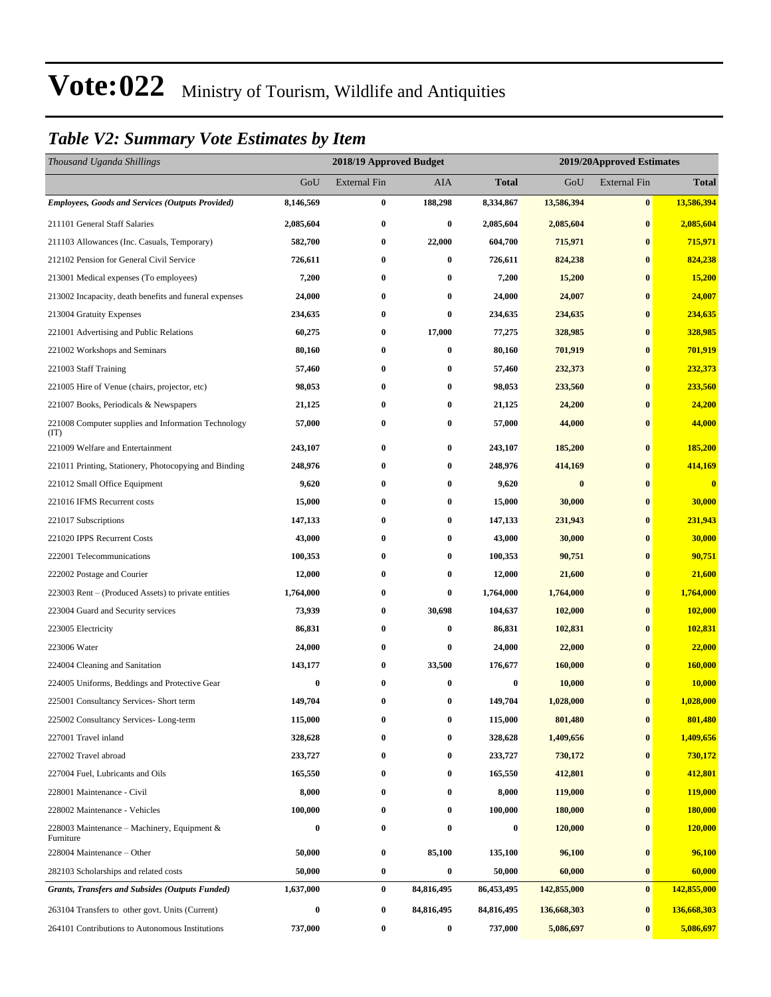#### *Table V2: Summary Vote Estimates by Item*

| Thousand Uganda Shillings                                   |           |                     | 2018/19 Approved Budget<br>2019/20Approved Estimates |              |                  |                     |               |
|-------------------------------------------------------------|-----------|---------------------|------------------------------------------------------|--------------|------------------|---------------------|---------------|
|                                                             | GoU       | <b>External Fin</b> | AIA                                                  | <b>Total</b> | GoU              | <b>External Fin</b> | <b>Total</b>  |
| <b>Employees, Goods and Services (Outputs Provided)</b>     | 8,146,569 | $\bf{0}$            | 188,298                                              | 8,334,867    | 13,586,394       | $\bf{0}$            | 13,586,394    |
| 211101 General Staff Salaries                               | 2,085,604 | $\bf{0}$            | 0                                                    | 2,085,604    | 2,085,604        | $\bf{0}$            | 2,085,604     |
| 211103 Allowances (Inc. Casuals, Temporary)                 | 582,700   | $\bf{0}$            | 22,000                                               | 604,700      | 715,971          | $\bf{0}$            | 715,971       |
| 212102 Pension for General Civil Service                    | 726,611   | $\bf{0}$            | $\bf{0}$                                             | 726,611      | 824,238          | $\bf{0}$            | 824,238       |
| 213001 Medical expenses (To employees)                      | 7,200     | $\bf{0}$            | 0                                                    | 7,200        | 15,200           | $\bf{0}$            | <b>15,200</b> |
| 213002 Incapacity, death benefits and funeral expenses      | 24,000    | $\bf{0}$            | $\bf{0}$                                             | 24,000       | 24,007           | $\bf{0}$            | 24,007        |
| 213004 Gratuity Expenses                                    | 234,635   | $\bf{0}$            | 0                                                    | 234,635      | 234,635          | $\bf{0}$            | 234,635       |
| 221001 Advertising and Public Relations                     | 60,275    | $\bf{0}$            | 17,000                                               | 77,275       | 328,985          | $\bf{0}$            | 328,985       |
| 221002 Workshops and Seminars                               | 80,160    | $\bf{0}$            | $\bf{0}$                                             | 80,160       | 701,919          | $\bf{0}$            | 701,919       |
| 221003 Staff Training                                       | 57,460    | $\bf{0}$            | $\bf{0}$                                             | 57,460       | 232,373          | $\bf{0}$            | 232,373       |
| 221005 Hire of Venue (chairs, projector, etc)               | 98,053    | $\bf{0}$            | $\bf{0}$                                             | 98,053       | 233,560          | $\bf{0}$            | 233,560       |
| 221007 Books, Periodicals & Newspapers                      | 21,125    | $\bf{0}$            | 0                                                    | 21,125       | 24,200           | $\bf{0}$            | 24,200        |
| 221008 Computer supplies and Information Technology<br>(TT) | 57,000    | $\bf{0}$            | $\bf{0}$                                             | 57,000       | 44,000           | $\bf{0}$            | 44,000        |
| 221009 Welfare and Entertainment                            | 243,107   | $\bf{0}$            | $\bf{0}$                                             | 243,107      | 185,200          | $\bf{0}$            | 185,200       |
| 221011 Printing, Stationery, Photocopying and Binding       | 248,976   | $\bf{0}$            | $\bf{0}$                                             | 248,976      | 414,169          | $\bf{0}$            | 414,169       |
| 221012 Small Office Equipment                               | 9,620     | $\bf{0}$            | $\bf{0}$                                             | 9,620        | $\boldsymbol{0}$ | $\bf{0}$            | $\bf{0}$      |
| 221016 IFMS Recurrent costs                                 | 15,000    | $\bf{0}$            | 0                                                    | 15,000       | 30,000           | $\bf{0}$            | 30,000        |
| 221017 Subscriptions                                        | 147,133   | $\bf{0}$            | $\bf{0}$                                             | 147,133      | 231,943          | $\bf{0}$            | 231,943       |
| 221020 IPPS Recurrent Costs                                 | 43,000    | $\bf{0}$            | $\bf{0}$                                             | 43,000       | 30,000           | $\bf{0}$            | 30,000        |
| 222001 Telecommunications                                   | 100,353   | $\bf{0}$            | 0                                                    | 100,353      | 90,751           | $\bf{0}$            | 90,751        |
| 222002 Postage and Courier                                  | 12,000    | $\bf{0}$            | $\bf{0}$                                             | 12,000       | 21,600           | $\bf{0}$            | 21,600        |
| 223003 Rent – (Produced Assets) to private entities         | 1,764,000 | $\bf{0}$            | $\bf{0}$                                             | 1,764,000    | 1,764,000        | $\bf{0}$            | 1,764,000     |
| 223004 Guard and Security services                          | 73,939    | $\bf{0}$            | 30,698                                               | 104,637      | 102,000          | $\bf{0}$            | 102,000       |
| 223005 Electricity                                          | 86,831    | $\bf{0}$            | $\bf{0}$                                             | 86,831       | 102,831          | $\bf{0}$            | 102,831       |
| 223006 Water                                                | 24,000    | $\bf{0}$            | $\bf{0}$                                             | 24,000       | 22,000           | $\bf{0}$            | 22,000        |
| 224004 Cleaning and Sanitation                              | 143,177   | $\bf{0}$            | 33,500                                               | 176,677      | 160,000          | $\bf{0}$            | 160,000       |
| 224005 Uniforms, Beddings and Protective Gear               | $\bf{0}$  | $\bf{0}$            | $\bf{0}$                                             | $\bf{0}$     | 10,000           | $\bf{0}$            | 10,000        |
| 225001 Consultancy Services- Short term                     | 149,704   | $\bf{0}$            | $\bf{0}$                                             | 149,704      | 1,028,000        | $\bf{0}$            | 1,028,000     |
| 225002 Consultancy Services-Long-term                       | 115,000   | $\bf{0}$            | $\bf{0}$                                             | 115,000      | 801,480          | $\bf{0}$            | 801,480       |
| 227001 Travel inland                                        | 328,628   | 0                   | $\bf{0}$                                             | 328,628      | 1,409,656        | $\bf{0}$            | 1,409,656     |
| 227002 Travel abroad                                        | 233,727   | $\bf{0}$            | $\bf{0}$                                             | 233,727      | 730,172          | $\bf{0}$            | 730,172       |
| 227004 Fuel, Lubricants and Oils                            | 165,550   | $\bf{0}$            | $\bf{0}$                                             | 165,550      | 412,801          | $\bf{0}$            | 412,801       |
| 228001 Maintenance - Civil                                  | 8,000     | $\bf{0}$            | 0                                                    | 8,000        | 119,000          | $\bf{0}$            | 119,000       |
| 228002 Maintenance - Vehicles                               | 100,000   | $\bf{0}$            | $\bf{0}$                                             | 100,000      | 180,000          | $\bf{0}$            | 180,000       |
| 228003 Maintenance – Machinery, Equipment &<br>Furniture    | 0         | $\bf{0}$            | 0                                                    | $\bf{0}$     | 120,000          | $\bf{0}$            | 120,000       |
| 228004 Maintenance – Other                                  | 50,000    | $\boldsymbol{0}$    | 85,100                                               | 135,100      | 96,100           | $\bf{0}$            | 96,100        |
| 282103 Scholarships and related costs                       | 50,000    | $\bf{0}$            | $\bf{0}$                                             | 50,000       | 60,000           | $\bf{0}$            | 60,000        |
| <b>Grants, Transfers and Subsides (Outputs Funded)</b>      | 1,637,000 | $\bf{0}$            | 84,816,495                                           | 86,453,495   | 142,855,000      | $\bf{0}$            | 142,855,000   |
| 263104 Transfers to other govt. Units (Current)             | 0         | $\bf{0}$            | 84,816,495                                           | 84,816,495   | 136,668,303      | $\bf{0}$            | 136,668,303   |
| 264101 Contributions to Autonomous Institutions             | 737,000   | $\boldsymbol{0}$    | $\boldsymbol{0}$                                     | 737,000      | 5,086,697        | $\bf{0}$            | 5,086,697     |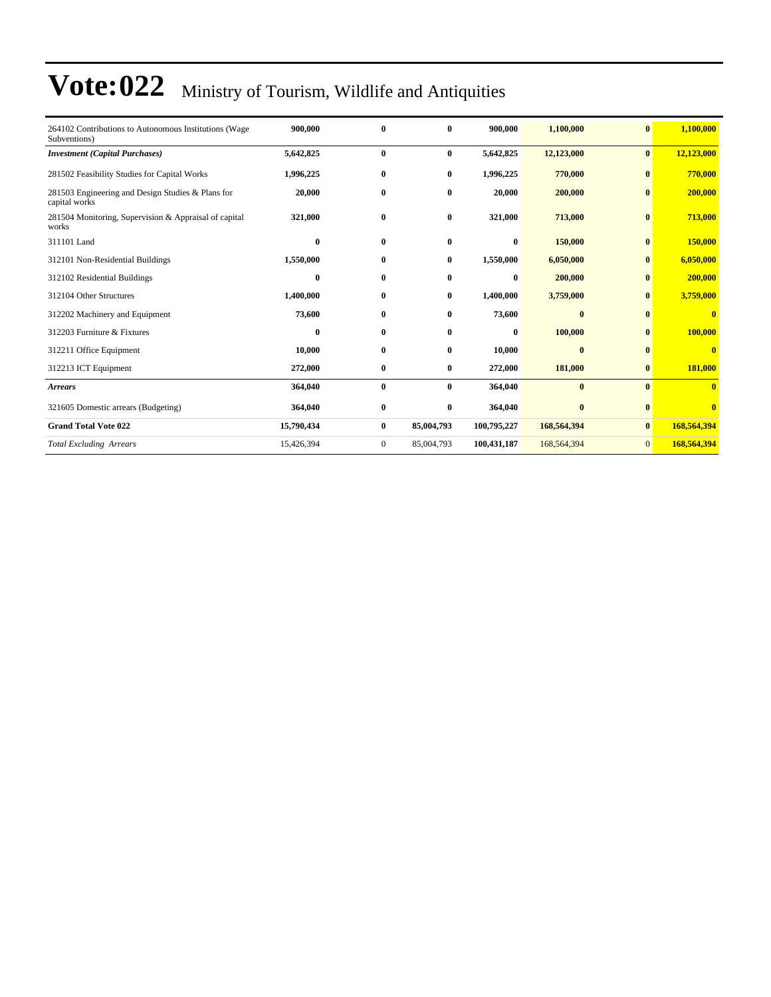| 264102 Contributions to Autonomous Institutions (Wage<br>Subventions) | 900.000    | $\bf{0}$     | $\mathbf{0}$ | 900,000     | 1,100,000   | $\bf{0}$       | 1,100,000               |
|-----------------------------------------------------------------------|------------|--------------|--------------|-------------|-------------|----------------|-------------------------|
| <b>Investment</b> (Capital Purchases)                                 | 5,642,825  | $\bf{0}$     | $\bf{0}$     | 5,642,825   | 12,123,000  | $\bf{0}$       | 12,123,000              |
| 281502 Feasibility Studies for Capital Works                          | 1,996,225  | $\bf{0}$     | $\bf{0}$     | 1,996,225   | 770,000     | $\bf{0}$       | 770,000                 |
| 281503 Engineering and Design Studies & Plans for<br>capital works    | 20,000     | $\bf{0}$     | $\bf{0}$     | 20,000      | 200,000     | $\bf{0}$       | 200,000                 |
| 281504 Monitoring, Supervision & Appraisal of capital<br>works        | 321,000    | $\bf{0}$     | $\bf{0}$     | 321,000     | 713,000     | $\bf{0}$       | 713,000                 |
| 311101 Land                                                           | $\bf{0}$   | $\bf{0}$     | $\bf{0}$     | $\bf{0}$    | 150,000     | $\bf{0}$       | 150,000                 |
| 312101 Non-Residential Buildings                                      | 1,550,000  | $\bf{0}$     | $\bf{0}$     | 1,550,000   | 6,050,000   | $\bf{0}$       | 6,050,000               |
| 312102 Residential Buildings                                          | $\bf{0}$   | $\bf{0}$     | $\bf{0}$     | $\bf{0}$    | 200,000     | $\bf{0}$       | 200,000                 |
| 312104 Other Structures                                               | 1,400,000  | $\bf{0}$     | $\bf{0}$     | 1,400,000   | 3,759,000   | $\bf{0}$       | 3,759,000               |
| 312202 Machinery and Equipment                                        | 73,600     | $\bf{0}$     | $\bf{0}$     | 73,600      | $\bf{0}$    | $\bf{0}$       | $\bf{0}$                |
| 312203 Furniture & Fixtures                                           | $\bf{0}$   | $\bf{0}$     | $\bf{0}$     | $\bf{0}$    | 100,000     | $\bf{0}$       | 100,000                 |
| 312211 Office Equipment                                               | 10,000     | $\bf{0}$     | $\bf{0}$     | 10,000      | $\bf{0}$    | $\bf{0}$       | $\bf{0}$                |
| 312213 ICT Equipment                                                  | 272,000    | $\bf{0}$     | $\bf{0}$     | 272,000     | 181,000     | $\bf{0}$       | 181,000                 |
| <b>Arrears</b>                                                        | 364,040    | $\bf{0}$     | $\bf{0}$     | 364,040     | $\bf{0}$    | $\mathbf{0}$   | $\bf{0}$                |
| 321605 Domestic arrears (Budgeting)                                   | 364,040    | $\bf{0}$     | $\bf{0}$     | 364,040     | $\bf{0}$    | $\bf{0}$       | $\overline{\mathbf{0}}$ |
| <b>Grand Total Vote 022</b>                                           | 15,790,434 | $\bf{0}$     | 85,004,793   | 100,795,227 | 168,564,394 | $\bf{0}$       | 168,564,394             |
| <b>Total Excluding Arrears</b>                                        | 15,426,394 | $\mathbf{0}$ | 85,004,793   | 100,431,187 | 168,564,394 | $\overline{0}$ | 168,564,394             |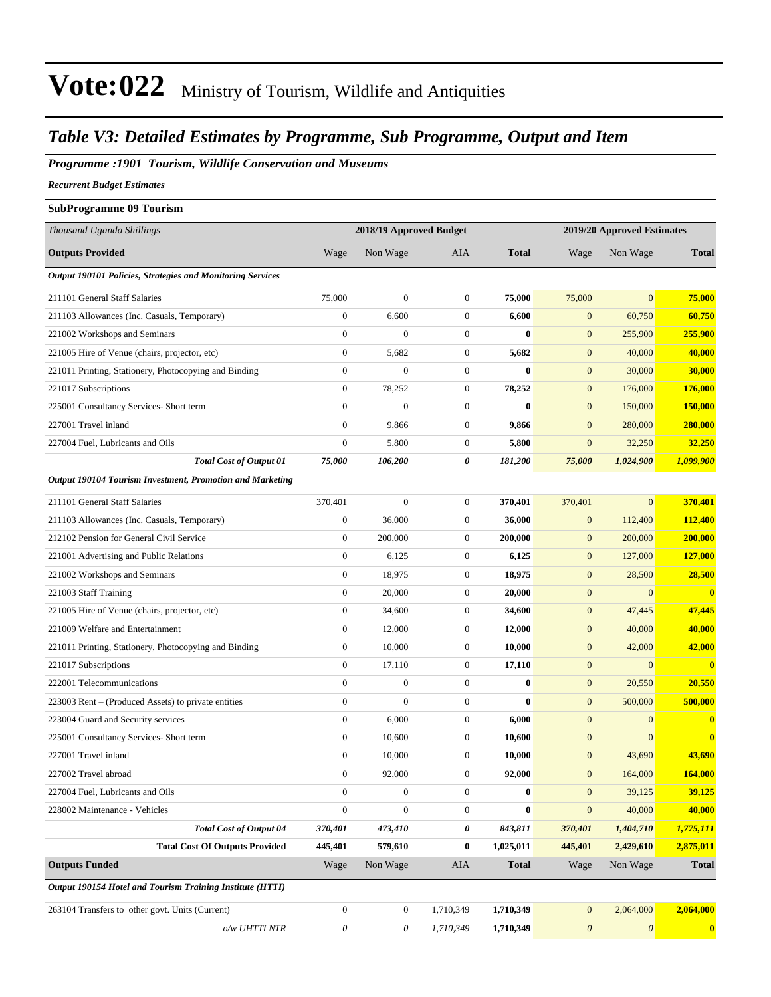#### *Table V3: Detailed Estimates by Programme, Sub Programme, Output and Item*

#### *Programme :1901 Tourism, Wildlife Conservation and Museums*

*Recurrent Budget Estimates*

#### **SubProgramme 09 Tourism**

| Thousand Uganda Shillings                                         |                           | 2018/19 Approved Budget |                  |              |                       | 2019/20 Approved Estimates |                |
|-------------------------------------------------------------------|---------------------------|-------------------------|------------------|--------------|-----------------------|----------------------------|----------------|
| <b>Outputs Provided</b>                                           | Wage                      | Non Wage                | <b>AIA</b>       | <b>Total</b> | Wage                  | Non Wage                   | <b>Total</b>   |
| <b>Output 190101 Policies, Strategies and Monitoring Services</b> |                           |                         |                  |              |                       |                            |                |
| 211101 General Staff Salaries                                     | 75,000                    | $\boldsymbol{0}$        | $\boldsymbol{0}$ | 75,000       | 75,000                | $\boldsymbol{0}$           | 75,000         |
| 211103 Allowances (Inc. Casuals, Temporary)                       | $\boldsymbol{0}$          | 6,600                   | $\boldsymbol{0}$ | 6,600        | $\mathbf{0}$          | 60,750                     | 60,750         |
| 221002 Workshops and Seminars                                     | $\boldsymbol{0}$          | $\overline{0}$          | $\mathbf{0}$     | $\bf{0}$     | $\mathbf{0}$          | 255,900                    | 255,900        |
| 221005 Hire of Venue (chairs, projector, etc)                     | $\boldsymbol{0}$          | 5,682                   | $\mathbf{0}$     | 5,682        | $\mathbf{0}$          | 40,000                     | 40,000         |
| 221011 Printing, Stationery, Photocopying and Binding             | $\boldsymbol{0}$          | $\boldsymbol{0}$        | $\mathbf{0}$     | $\bf{0}$     | $\boldsymbol{0}$      | 30,000                     | 30,000         |
| 221017 Subscriptions                                              | $\boldsymbol{0}$          | 78,252                  | $\mathbf{0}$     | 78,252       | $\mathbf{0}$          | 176,000                    | 176,000        |
| 225001 Consultancy Services- Short term                           | $\boldsymbol{0}$          | $\overline{0}$          | $\boldsymbol{0}$ | $\bf{0}$     | $\mathbf{0}$          | 150,000                    | 150,000        |
| 227001 Travel inland                                              | $\overline{0}$            | 9,866                   | $\mathbf{0}$     | 9,866        | $\mathbf{0}$          | 280,000                    | <b>280,000</b> |
| 227004 Fuel, Lubricants and Oils                                  | $\boldsymbol{0}$          | 5,800                   | $\boldsymbol{0}$ | 5,800        | $\boldsymbol{0}$      | 32,250                     | 32,250         |
| <b>Total Cost of Output 01</b>                                    | 75,000                    | 106,200                 | 0                | 181,200      | 75,000                | 1,024,900                  | 1,099,900      |
| Output 190104 Tourism Investment, Promotion and Marketing         |                           |                         |                  |              |                       |                            |                |
| 211101 General Staff Salaries                                     | 370,401                   | $\boldsymbol{0}$        | $\mathbf{0}$     | 370,401      | 370,401               | $\overline{0}$             | 370,401        |
| 211103 Allowances (Inc. Casuals, Temporary)                       | $\boldsymbol{0}$          | 36,000                  | $\boldsymbol{0}$ | 36,000       | $\mathbf{0}$          | 112,400                    | 112,400        |
| 212102 Pension for General Civil Service                          | $\mathbf{0}$              | 200,000                 | $\mathbf{0}$     | 200,000      | $\boldsymbol{0}$      | 200,000                    | 200,000        |
| 221001 Advertising and Public Relations                           | $\boldsymbol{0}$          | 6,125                   | $\mathbf{0}$     | 6,125        | $\mathbf{0}$          | 127,000                    | 127,000        |
| 221002 Workshops and Seminars                                     | $\boldsymbol{0}$          | 18,975                  | $\mathbf{0}$     | 18,975       | $\boldsymbol{0}$      | 28,500                     | 28,500         |
| 221003 Staff Training                                             | $\mathbf{0}$              | 20,000                  | $\mathbf{0}$     | 20,000       | $\mathbf{0}$          | $\mathbf{0}$               | $\mathbf{0}$   |
| 221005 Hire of Venue (chairs, projector, etc)                     | $\mathbf{0}$              | 34,600                  | $\mathbf{0}$     | 34,600       | $\mathbf{0}$          | 47,445                     | 47,445         |
| 221009 Welfare and Entertainment                                  | $\mathbf{0}$              | 12,000                  | $\boldsymbol{0}$ | 12,000       | $\boldsymbol{0}$      | 40,000                     | 40,000         |
| 221011 Printing, Stationery, Photocopying and Binding             | 0                         | 10,000                  | $\boldsymbol{0}$ | 10,000       | $\boldsymbol{0}$      | 42,000                     | 42,000         |
| 221017 Subscriptions                                              | $\boldsymbol{0}$          | 17,110                  | $\boldsymbol{0}$ | 17,110       | $\boldsymbol{0}$      | $\overline{0}$             | $\bf{0}$       |
| 222001 Telecommunications                                         | $\mathbf{0}$              | $\boldsymbol{0}$        | $\mathbf{0}$     | $\bf{0}$     | $\boldsymbol{0}$      | 20,550                     | 20,550         |
| 223003 Rent – (Produced Assets) to private entities               | $\boldsymbol{0}$          | $\overline{0}$          | $\boldsymbol{0}$ | $\bf{0}$     | $\mathbf{0}$          | 500,000                    | 500,000        |
| 223004 Guard and Security services                                | $\boldsymbol{0}$          | 6,000                   | $\mathbf{0}$     | 6,000        | $\boldsymbol{0}$      | $\mathbf{0}$               | $\bf{0}$       |
| 225001 Consultancy Services- Short term                           | $\mathbf{0}$              | 10,600                  | $\mathbf{0}$     | 10,600       | $\mathbf{0}$          | $\overline{0}$             | $\bf{0}$       |
| 227001 Travel inland                                              | $\boldsymbol{0}$          | 10,000                  | $\boldsymbol{0}$ | 10,000       | $\boldsymbol{0}$      | 43,690                     | 43,690         |
| 227002 Travel abroad                                              | $\boldsymbol{0}$          | 92,000                  | $\boldsymbol{0}$ | 92,000       | $\mathbf{0}$          | 164,000                    | 164,000        |
| 227004 Fuel, Lubricants and Oils                                  | $\boldsymbol{0}$          | $\boldsymbol{0}$        | $\boldsymbol{0}$ | $\bf{0}$     | $\mathbf{0}$          | 39,125                     | 39,125         |
| 228002 Maintenance - Vehicles                                     | $\boldsymbol{0}$          | $\boldsymbol{0}$        | $\boldsymbol{0}$ | $\bf{0}$     | $\mathbf{0}$          | 40,000                     | 40,000         |
| <b>Total Cost of Output 04</b>                                    | 370,401                   | 473,410                 | 0                | 843,811      | 370,401               | 1,404,710                  | 1,775,111      |
| <b>Total Cost Of Outputs Provided</b>                             | 445,401                   | 579,610                 | $\bf{0}$         | 1,025,011    | 445,401               | 2,429,610                  | 2,875,011      |
| <b>Outputs Funded</b>                                             | Wage                      | Non Wage                | AIA              | <b>Total</b> | Wage                  | Non Wage                   | <b>Total</b>   |
| Output 190154 Hotel and Tourism Training Institute (HTTI)         |                           |                         |                  |              |                       |                            |                |
| 263104 Transfers to other govt. Units (Current)                   | $\boldsymbol{0}$          | $\boldsymbol{0}$        | 1,710,349        | 1,710,349    | $\mathbf{0}$          | 2,064,000                  | 2,064,000      |
| o/w UHTTI NTR                                                     | $\boldsymbol{\mathit{0}}$ | 0                       | 1,710,349        | 1,710,349    | $\boldsymbol{\theta}$ | $\boldsymbol{\mathit{0}}$  | $\mathbf{0}$   |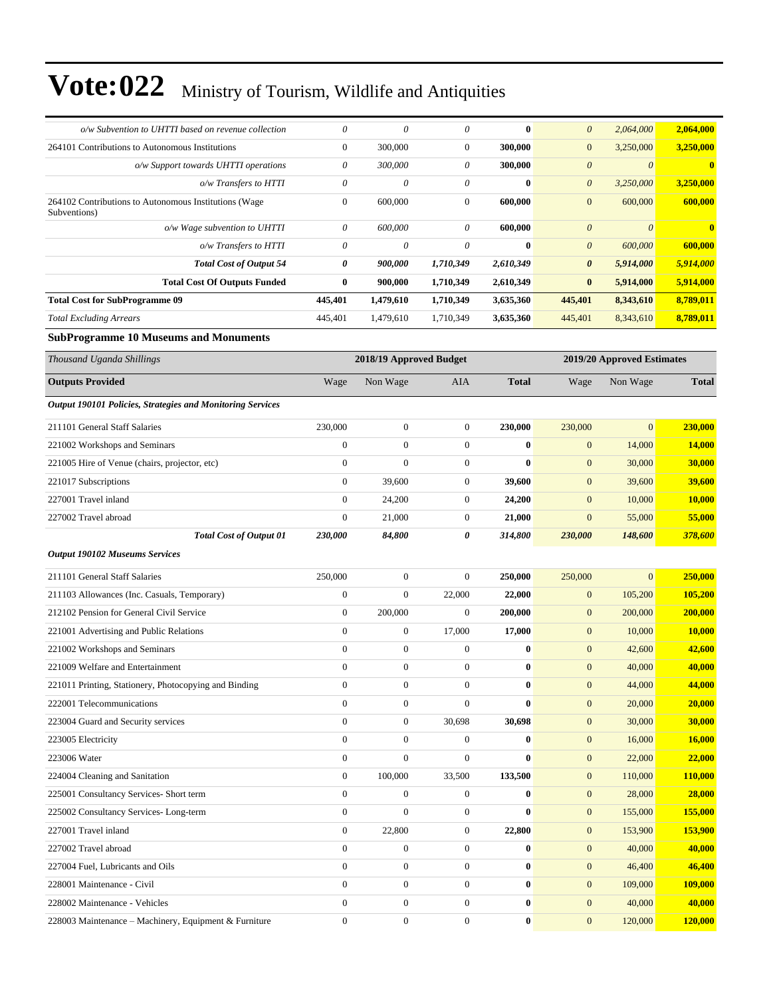| o/w Subvention to UHTTI based on revenue collection                   | $\theta$         | $\theta$                | $\theta$         | $\bf{0}$     | $\boldsymbol{\theta}$ | 2,064,000                  | 2,064,000     |
|-----------------------------------------------------------------------|------------------|-------------------------|------------------|--------------|-----------------------|----------------------------|---------------|
| 264101 Contributions to Autonomous Institutions                       | $\mathbf{0}$     | 300,000                 | $\boldsymbol{0}$ | 300,000      | $\mathbf{0}$          | 3,250,000                  | 3,250,000     |
| o/w Support towards UHTTI operations                                  | $\theta$         | 300,000                 | $\theta$         | 300,000      | $\boldsymbol{\theta}$ | $\theta$                   | $\bf{0}$      |
| o/w Transfers to HTTI                                                 | $\theta$         | $\theta$                | $\theta$         | $\bf{0}$     | $\boldsymbol{\theta}$ | 3,250,000                  | 3,250,000     |
| 264102 Contributions to Autonomous Institutions (Wage<br>Subventions) | $\boldsymbol{0}$ | 600,000                 | $\boldsymbol{0}$ | 600,000      | $\mathbf{0}$          | 600,000                    | 600,000       |
| o/w Wage subvention to UHTTI                                          | 0                | 600,000                 | $\theta$         | 600,000      | $\boldsymbol{\theta}$ | $\boldsymbol{0}$           | $\bf{0}$      |
| o/w Transfers to HTTI                                                 | $\theta$         | $\theta$                | $\theta$         | $\bf{0}$     | $\boldsymbol{\theta}$ | 600,000                    | 600,000       |
| <b>Total Cost of Output 54</b>                                        | 0                | 900,000                 | 1,710,349        | 2,610,349    | 0                     | 5,914,000                  | 5,914,000     |
| <b>Total Cost Of Outputs Funded</b>                                   | $\bf{0}$         | 900,000                 | 1,710,349        | 2,610,349    | $\bf{0}$              | 5,914,000                  | 5,914,000     |
| <b>Total Cost for SubProgramme 09</b>                                 | 445,401          | 1,479,610               | 1,710,349        | 3,635,360    | 445,401               | 8,343,610                  | 8,789,011     |
| <b>Total Excluding Arrears</b>                                        | 445,401          | 1,479,610               | 1,710,349        | 3,635,360    | 445,401               | 8,343,610                  | 8,789,011     |
| <b>SubProgramme 10 Museums and Monuments</b>                          |                  |                         |                  |              |                       |                            |               |
| Thousand Uganda Shillings                                             |                  | 2018/19 Approved Budget |                  |              |                       | 2019/20 Approved Estimates |               |
| <b>Outputs Provided</b>                                               | Wage             | Non Wage                | AIA              | <b>Total</b> | Wage                  | Non Wage                   | <b>Total</b>  |
| Output 190101 Policies, Strategies and Monitoring Services            |                  |                         |                  |              |                       |                            |               |
| 211101 General Staff Salaries                                         | 230,000          | $\overline{0}$          | $\boldsymbol{0}$ | 230,000      | 230,000               | $\mathbf{0}$               | 230,000       |
| 221002 Workshops and Seminars                                         | $\boldsymbol{0}$ | $\boldsymbol{0}$        | $\boldsymbol{0}$ | $\bf{0}$     | $\mathbf{0}$          | 14,000                     | <b>14,000</b> |
| 221005 Hire of Venue (chairs, projector, etc)                         | $\mathbf{0}$     | $\overline{0}$          | $\boldsymbol{0}$ | $\bf{0}$     | $\mathbf{0}$          | 30,000                     | 30,000        |
| 221017 Subscriptions                                                  | $\mathbf{0}$     | 39,600                  | $\boldsymbol{0}$ | 39,600       | $\mathbf{0}$          | 39,600                     | <b>39,600</b> |
| 227001 Travel inland                                                  | $\mathbf{0}$     | 24,200                  | $\boldsymbol{0}$ | 24,200       | $\mathbf{0}$          | 10,000                     | 10,000        |
| 227002 Travel abroad                                                  | $\boldsymbol{0}$ | 21,000                  | $\boldsymbol{0}$ | 21,000       | $\mathbf{0}$          | 55,000                     | 55,000        |
| <b>Total Cost of Output 01</b>                                        | 230,000          | 84,800                  | 0                | 314,800      | 230,000               | 148,600                    | 378,600       |
| <b>Output 190102 Museums Services</b>                                 |                  |                         |                  |              |                       |                            |               |
| 211101 General Staff Salaries                                         | 250,000          | $\boldsymbol{0}$        | $\boldsymbol{0}$ | 250,000      | 250,000               | $\Omega$                   | 250,000       |
| 211103 Allowances (Inc. Casuals, Temporary)                           | $\boldsymbol{0}$ | $\boldsymbol{0}$        | 22,000           | 22,000       | $\mathbf{0}$          | 105,200                    | 105,200       |
| 212102 Pension for General Civil Service                              | $\boldsymbol{0}$ | 200,000                 | $\boldsymbol{0}$ | 200,000      | $\mathbf{0}$          | 200,000                    | 200,000       |
| 221001 Advertising and Public Relations                               | $\overline{0}$   | $\boldsymbol{0}$        | 17,000           | 17,000       | $\mathbf{0}$          | 10,000                     | <b>10,000</b> |
| 221002 Workshops and Seminars                                         | $\mathbf{0}$     | $\boldsymbol{0}$        | $\mathbf{0}$     | $\bf{0}$     | $\mathbf{0}$          | 42,600                     | 42,600        |
| 221009 Welfare and Entertainment                                      | $\mathbf{0}$     | $\boldsymbol{0}$        | $\boldsymbol{0}$ | $\bf{0}$     | $\mathbf{0}$          | 40,000                     | 40,000        |
| 221011 Printing, Stationery, Photocopying and Binding                 | $\boldsymbol{0}$ | $\boldsymbol{0}$        | $\boldsymbol{0}$ | $\bf{0}$     | $\boldsymbol{0}$      | 44,000                     | 44,000        |
| 222001 Telecommunications                                             | $\boldsymbol{0}$ | $\boldsymbol{0}$        | $\boldsymbol{0}$ | $\bf{0}$     | $\boldsymbol{0}$      | 20,000                     | 20,000        |
| 223004 Guard and Security services                                    | $\boldsymbol{0}$ | $\boldsymbol{0}$        | 30,698           | 30,698       | $\boldsymbol{0}$      | 30,000                     | 30,000        |
| 223005 Electricity                                                    | $\boldsymbol{0}$ | $\boldsymbol{0}$        | $\boldsymbol{0}$ | $\bf{0}$     | $\mathbf{0}$          | 16,000                     | <b>16,000</b> |
| 223006 Water                                                          | $\boldsymbol{0}$ | $\boldsymbol{0}$        | $\boldsymbol{0}$ | $\bf{0}$     | $\boldsymbol{0}$      | 22,000                     | 22,000        |
| 224004 Cleaning and Sanitation                                        | $\boldsymbol{0}$ | 100,000                 | 33,500           | 133,500      | $\mathbf{0}$          | 110,000                    | 110,000       |
| 225001 Consultancy Services- Short term                               | $\boldsymbol{0}$ | $\mathbf{0}$            | $\boldsymbol{0}$ | $\bf{0}$     | $\mathbf{0}$          | 28,000                     | 28,000        |
| 225002 Consultancy Services-Long-term                                 | $\boldsymbol{0}$ | $\overline{0}$          | $\boldsymbol{0}$ | $\bf{0}$     | $\boldsymbol{0}$      | 155,000                    | 155,000       |
| 227001 Travel inland                                                  | $\boldsymbol{0}$ | 22,800                  | $\boldsymbol{0}$ | 22,800       | $\mathbf{0}$          | 153,900                    | 153,900       |
| 227002 Travel abroad                                                  | $\boldsymbol{0}$ | $\boldsymbol{0}$        | $\boldsymbol{0}$ | $\bf{0}$     | $\boldsymbol{0}$      | 40,000                     | 40,000        |
| 227004 Fuel, Lubricants and Oils                                      | $\boldsymbol{0}$ | $\boldsymbol{0}$        | $\boldsymbol{0}$ | $\pmb{0}$    | $\mathbf{0}$          | 46,400                     | 46,400        |
| 228001 Maintenance - Civil                                            | $\boldsymbol{0}$ | $\boldsymbol{0}$        | $\boldsymbol{0}$ | $\bf{0}$     | $\mathbf{0}$          | 109,000                    | 109,000       |
| 228002 Maintenance - Vehicles                                         | $\boldsymbol{0}$ | $\boldsymbol{0}$        | $\boldsymbol{0}$ | $\bf{0}$     | $\boldsymbol{0}$      | 40,000                     | 40,000        |
| 228003 Maintenance - Machinery, Equipment & Furniture                 | $\boldsymbol{0}$ | $\boldsymbol{0}$        | $\boldsymbol{0}$ | $\pmb{0}$    | $\mathbf{0}$          | 120,000                    | 120,000       |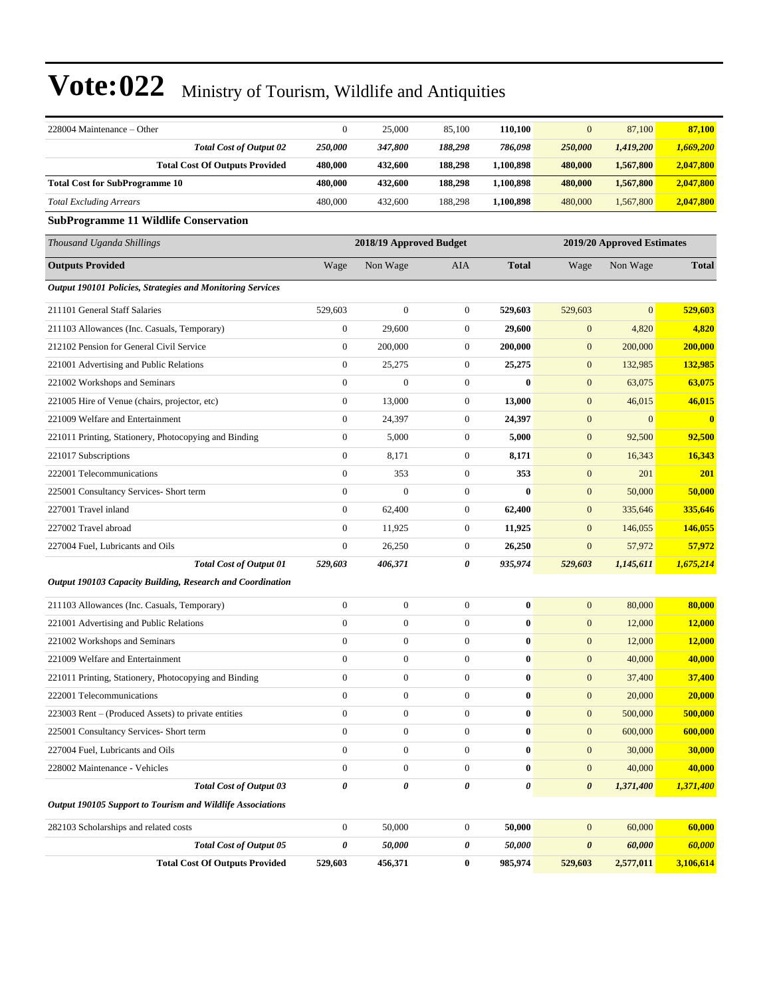| 228004 Maintenance – Other                                        | $\boldsymbol{0}$                                      | 25,000           | 85,100           | 110,100          | $\mathbf{0}$     | 87,100       | 87,100                  |  |
|-------------------------------------------------------------------|-------------------------------------------------------|------------------|------------------|------------------|------------------|--------------|-------------------------|--|
| <b>Total Cost of Output 02</b>                                    | 250,000                                               | 347,800          | 188,298          | 786,098          | 250,000          | 1,419,200    | 1,669,200               |  |
| <b>Total Cost Of Outputs Provided</b>                             | 480,000                                               | 432,600          | 188,298          | 1,100,898        | 480,000          | 1,567,800    | 2,047,800               |  |
| <b>Total Cost for SubProgramme 10</b>                             | 480,000                                               | 432,600          | 188,298          | 1,100,898        | 480,000          | 1,567,800    | 2,047,800               |  |
| <b>Total Excluding Arrears</b>                                    | 480,000                                               | 432,600          | 188,298          | 1,100,898        | 480,000          | 1,567,800    | 2,047,800               |  |
| <b>SubProgramme 11 Wildlife Conservation</b>                      |                                                       |                  |                  |                  |                  |              |                         |  |
| Thousand Uganda Shillings                                         | 2018/19 Approved Budget<br>2019/20 Approved Estimates |                  |                  |                  |                  |              |                         |  |
| <b>Outputs Provided</b>                                           | Wage                                                  | Non Wage         | AIA              | <b>Total</b>     | Wage             | Non Wage     | <b>Total</b>            |  |
| <b>Output 190101 Policies, Strategies and Monitoring Services</b> |                                                       |                  |                  |                  |                  |              |                         |  |
| 211101 General Staff Salaries                                     | 529,603                                               | $\boldsymbol{0}$ | $\boldsymbol{0}$ | 529,603          | 529,603          | $\mathbf{0}$ | 529,603                 |  |
| 211103 Allowances (Inc. Casuals, Temporary)                       | $\boldsymbol{0}$                                      | 29,600           | $\boldsymbol{0}$ | 29,600           | $\mathbf{0}$     | 4,820        | 4,820                   |  |
| 212102 Pension for General Civil Service                          | $\boldsymbol{0}$                                      | 200,000          | $\mathbf{0}$     | 200,000          | $\boldsymbol{0}$ | 200,000      | 200,000                 |  |
| 221001 Advertising and Public Relations                           | $\boldsymbol{0}$                                      | 25,275           | $\boldsymbol{0}$ | 25,275           | $\boldsymbol{0}$ | 132,985      | 132,985                 |  |
| 221002 Workshops and Seminars                                     | $\boldsymbol{0}$                                      | $\mathbf{0}$     | $\boldsymbol{0}$ | $\bf{0}$         | $\boldsymbol{0}$ | 63,075       | 63,075                  |  |
| 221005 Hire of Venue (chairs, projector, etc)                     | $\boldsymbol{0}$                                      | 13,000           | $\boldsymbol{0}$ | 13,000           | $\boldsymbol{0}$ | 46,015       | 46,015                  |  |
| 221009 Welfare and Entertainment                                  | $\boldsymbol{0}$                                      | 24,397           | $\boldsymbol{0}$ | 24,397           | $\boldsymbol{0}$ | $\mathbf{0}$ | $\overline{\mathbf{0}}$ |  |
| 221011 Printing, Stationery, Photocopying and Binding             | $\boldsymbol{0}$                                      | 5,000            | $\boldsymbol{0}$ | 5,000            | $\boldsymbol{0}$ | 92,500       | 92,500                  |  |
| 221017 Subscriptions                                              | $\boldsymbol{0}$                                      | 8,171            | $\mathbf{0}$     | 8,171            | $\boldsymbol{0}$ | 16,343       | 16,343                  |  |
| 222001 Telecommunications                                         | $\boldsymbol{0}$                                      | 353              | $\boldsymbol{0}$ | 353              | $\mathbf{0}$     | 201          | 201                     |  |
| 225001 Consultancy Services- Short term                           | $\mathbf{0}$                                          | $\overline{0}$   | $\boldsymbol{0}$ | $\bf{0}$         | $\boldsymbol{0}$ | 50,000       | 50,000                  |  |
| 227001 Travel inland                                              | $\boldsymbol{0}$                                      | 62,400           | $\boldsymbol{0}$ | 62,400           | $\mathbf{0}$     | 335,646      | 335,646                 |  |
| 227002 Travel abroad                                              | $\boldsymbol{0}$                                      | 11,925           | $\boldsymbol{0}$ | 11,925           | $\boldsymbol{0}$ | 146,055      | 146,055                 |  |
| 227004 Fuel, Lubricants and Oils                                  | $\boldsymbol{0}$                                      | 26,250           | $\boldsymbol{0}$ | 26,250           | $\mathbf{0}$     | 57,972       | 57,972                  |  |
| <b>Total Cost of Output 01</b>                                    | 529,603                                               | 406,371          | 0                | 935,974          | 529,603          | 1,145,611    | 1,675,214               |  |
| Output 190103 Capacity Building, Research and Coordination        |                                                       |                  |                  |                  |                  |              |                         |  |
| 211103 Allowances (Inc. Casuals, Temporary)                       | $\boldsymbol{0}$                                      | $\boldsymbol{0}$ | $\boldsymbol{0}$ | $\bf{0}$         | $\mathbf{0}$     | 80,000       | 80,000                  |  |
| 221001 Advertising and Public Relations                           | $\boldsymbol{0}$                                      | $\mathbf{0}$     | $\boldsymbol{0}$ | $\bf{0}$         | $\boldsymbol{0}$ | 12,000       | 12,000                  |  |
| 221002 Workshops and Seminars                                     | $\boldsymbol{0}$                                      | $\boldsymbol{0}$ | $\boldsymbol{0}$ | 0                | $\boldsymbol{0}$ | 12,000       | 12,000                  |  |
| 221009 Welfare and Entertainment                                  | $\boldsymbol{0}$                                      | $\boldsymbol{0}$ | $\boldsymbol{0}$ | $\bf{0}$         | $\boldsymbol{0}$ | 40,000       | 40,000                  |  |
| 221011 Printing, Stationery, Photocopying and Binding             | $\Omega$                                              | $\Omega$         | $\Omega$         | $\bf{0}$         | $\mathbf{0}$     | 37,400       | 37,400                  |  |
| 222001 Telecommunications                                         | $\boldsymbol{0}$                                      | $\boldsymbol{0}$ | $\boldsymbol{0}$ | $\boldsymbol{0}$ | $\boldsymbol{0}$ | 20,000       | 20,000                  |  |
| 223003 Rent – (Produced Assets) to private entities               | $\boldsymbol{0}$                                      | $\boldsymbol{0}$ | $\boldsymbol{0}$ | $\bf{0}$         | $\boldsymbol{0}$ | 500,000      | 500,000                 |  |
| 225001 Consultancy Services- Short term                           | $\boldsymbol{0}$                                      | $\boldsymbol{0}$ | $\boldsymbol{0}$ | $\boldsymbol{0}$ | $\boldsymbol{0}$ | 600,000      | 600,000                 |  |
| 227004 Fuel, Lubricants and Oils                                  | $\boldsymbol{0}$                                      | $\boldsymbol{0}$ | $\boldsymbol{0}$ | $\boldsymbol{0}$ | $\boldsymbol{0}$ | 30,000       | 30,000                  |  |
| 228002 Maintenance - Vehicles                                     | $\boldsymbol{0}$                                      | $\boldsymbol{0}$ | $\boldsymbol{0}$ | 0                | $\boldsymbol{0}$ | 40,000       | 40,000                  |  |
| <b>Total Cost of Output 03</b>                                    | $\pmb{\theta}$                                        | $\pmb{\theta}$   | 0                | 0                | $\pmb{\theta}$   | 1,371,400    | 1,371,400               |  |
| Output 190105 Support to Tourism and Wildlife Associations        |                                                       |                  |                  |                  |                  |              |                         |  |
| 282103 Scholarships and related costs                             | $\boldsymbol{0}$                                      | 50,000           | $\boldsymbol{0}$ | 50,000           | $\boldsymbol{0}$ | 60,000       | 60,000                  |  |
| <b>Total Cost of Output 05</b>                                    | 0                                                     | 50,000           | 0                | 50,000           | $\pmb{\theta}$   | 60,000       | 60,000                  |  |
| <b>Total Cost Of Outputs Provided</b>                             | 529,603                                               | 456,371          | $\bf{0}$         | 985,974          | 529,603          | 2,577,011    | 3,106,614               |  |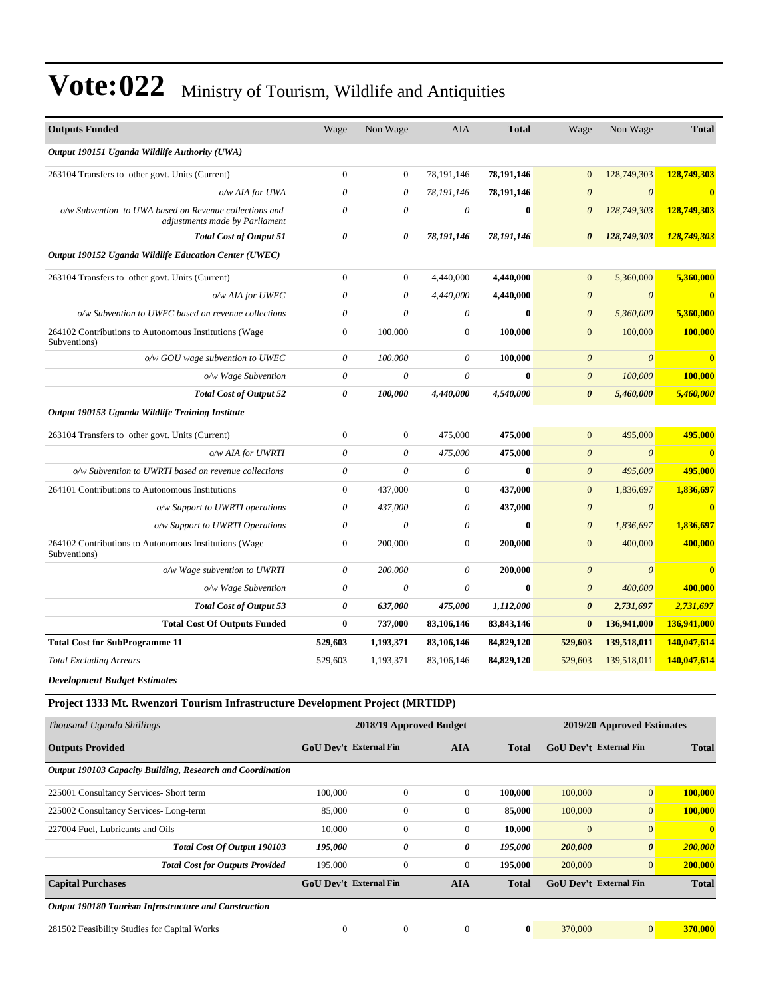| <b>Outputs Funded</b>                                                                    | Wage             | Non Wage                  | <b>AIA</b>                | <b>Total</b> | Wage                  | Non Wage              | <b>Total</b>            |
|------------------------------------------------------------------------------------------|------------------|---------------------------|---------------------------|--------------|-----------------------|-----------------------|-------------------------|
| Output 190151 Uganda Wildlife Authority (UWA)                                            |                  |                           |                           |              |                       |                       |                         |
| 263104 Transfers to other govt. Units (Current)                                          | $\boldsymbol{0}$ | $\boldsymbol{0}$          | 78,191,146                | 78,191,146   | $\overline{0}$        | 128,749,303           | 128,749,303             |
| o/w AIA for UWA                                                                          | $\theta$         | $\theta$                  | 78,191,146                | 78,191,146   | $\boldsymbol{\theta}$ | $\boldsymbol{0}$      | $\mathbf{0}$            |
| o/w Subvention to UWA based on Revenue collections and<br>adjustments made by Parliament | 0                | $\theta$                  | $\theta$                  | $\mathbf{0}$ | $\theta$              | 128,749,303           | 128,749,303             |
| <b>Total Cost of Output 51</b>                                                           | 0                | 0                         | 78,191,146                | 78,191,146   | $\boldsymbol{\theta}$ | 128,749,303           | 128,749,303             |
| Output 190152 Uganda Wildlife Education Center (UWEC)                                    |                  |                           |                           |              |                       |                       |                         |
| 263104 Transfers to other govt. Units (Current)                                          | $\boldsymbol{0}$ | $\boldsymbol{0}$          | 4,440,000                 | 4,440,000    | $\mathbf{0}$          | 5,360,000             | 5,360,000               |
| o/w AIA for UWEC                                                                         | 0                | $\theta$                  | 4,440,000                 | 4,440,000    | $\boldsymbol{\theta}$ | $\theta$              | $\mathbf{0}$            |
| o/w Subvention to UWEC based on revenue collections                                      | 0                | $\theta$                  | $\theta$                  | $\bf{0}$     | $\boldsymbol{\theta}$ | 5,360,000             | 5,360,000               |
| 264102 Contributions to Autonomous Institutions (Wage<br>Subventions)                    | $\boldsymbol{0}$ | 100,000                   | $\mathbf{0}$              | 100,000      | $\boldsymbol{0}$      | 100,000               | 100,000                 |
| o/w GOU wage subvention to UWEC                                                          | 0                | 100,000                   | $\theta$                  | 100,000      | $\theta$              | $\theta$              | $\overline{\mathbf{0}}$ |
| o/w Wage Subvention                                                                      | $\theta$         | $\boldsymbol{\mathit{0}}$ | $\boldsymbol{\mathit{0}}$ | $\bf{0}$     | $\boldsymbol{\theta}$ | 100,000               | 100,000                 |
| <b>Total Cost of Output 52</b>                                                           | 0                | 100,000                   | 4,440,000                 | 4,540,000    | $\boldsymbol{\theta}$ | 5,460,000             | 5,460,000               |
| Output 190153 Uganda Wildlife Training Institute                                         |                  |                           |                           |              |                       |                       |                         |
| 263104 Transfers to other govt. Units (Current)                                          | $\boldsymbol{0}$ | $\mathbf{0}$              | 475,000                   | 475,000      | $\boldsymbol{0}$      | 495,000               | 495,000                 |
| o/w AIA for UWRTI                                                                        | 0                | $\theta$                  | 475,000                   | 475,000      | $\boldsymbol{\theta}$ | $\boldsymbol{\theta}$ | $\bf{0}$                |
| o/w Subvention to UWRTI based on revenue collections                                     | 0                | $\theta$                  | $\theta$                  | $\mathbf{0}$ | $\theta$              | 495,000               | 495,000                 |
| 264101 Contributions to Autonomous Institutions                                          | $\boldsymbol{0}$ | 437,000                   | $\mathbf{0}$              | 437,000      | $\mathbf{0}$          | 1,836,697             | 1,836,697               |
| o/w Support to UWRTI operations                                                          | 0                | 437,000                   | $\theta$                  | 437,000      | $\boldsymbol{\theta}$ | $\theta$              | $\mathbf{0}$            |
| o/w Support to UWRTI Operations                                                          | $\theta$         | $\theta$                  | $\theta$                  | $\mathbf{0}$ | $\boldsymbol{\theta}$ | 1,836,697             | 1,836,697               |
| 264102 Contributions to Autonomous Institutions (Wage<br>Subventions)                    | $\boldsymbol{0}$ | 200,000                   | $\mathbf{0}$              | 200,000      | $\mathbf{0}$          | 400,000               | 400,000                 |
| o/w Wage subvention to UWRTI                                                             | 0                | 200,000                   | $\theta$                  | 200,000      | $\boldsymbol{\theta}$ | $\theta$              | $\mathbf{0}$            |
| $o/w$ Wage Subvention                                                                    | 0                | $\boldsymbol{\theta}$     | $\theta$                  | $\bf{0}$     | $\boldsymbol{\theta}$ | 400,000               | 400,000                 |
| <b>Total Cost of Output 53</b>                                                           | 0                | 637,000                   | 475,000                   | 1,112,000    | $\boldsymbol{\theta}$ | 2,731,697             | 2,731,697               |
| <b>Total Cost Of Outputs Funded</b>                                                      | $\bf{0}$         | 737,000                   | 83,106,146                | 83, 843, 146 | $\bf{0}$              | 136,941,000           | 136,941,000             |
| <b>Total Cost for SubProgramme 11</b>                                                    | 529,603          | 1,193,371                 | 83,106,146                | 84,829,120   | 529,603               | 139,518,011           | 140,047,614             |
| <b>Total Excluding Arrears</b>                                                           | 529,603          | 1,193,371                 | 83,106,146                | 84,829,120   | 529,603               | 139,518,011           | 140,047,614             |
| <b>Development Budget Estimates</b>                                                      |                  |                           |                           |              |                       |                       |                         |

**Project 1333 Mt. Rwenzori Tourism Infrastructure Development Project (MRTIDP)**

| Thousand Uganda Shillings                                  |                               | 2018/19 Approved Budget |                | 2019/20 Approved Estimates |                               |                       |              |  |
|------------------------------------------------------------|-------------------------------|-------------------------|----------------|----------------------------|-------------------------------|-----------------------|--------------|--|
| <b>Outputs Provided</b>                                    | <b>GoU Dev't External Fin</b> |                         | <b>AIA</b>     | <b>Total</b>               | <b>GoU Dev't External Fin</b> |                       | <b>Total</b> |  |
| Output 190103 Capacity Building, Research and Coordination |                               |                         |                |                            |                               |                       |              |  |
| 225001 Consultancy Services- Short term                    | 100,000                       | $\mathbf{0}$            | $\overline{0}$ | 100,000                    | 100,000                       | $\mathbf{0}$          | 100,000      |  |
| 225002 Consultancy Services-Long-term                      | 85,000                        | $\mathbf{0}$            | $\overline{0}$ | 85,000                     | 100,000                       | $\overline{0}$        | 100,000      |  |
| 227004 Fuel, Lubricants and Oils                           | 10,000                        | $\mathbf{0}$            | $\overline{0}$ | 10,000                     | $\mathbf{0}$                  | $\overline{0}$        | $\mathbf{0}$ |  |
| Total Cost Of Output 190103                                | 195,000                       | 0                       | 0              | 195,000                    | 200,000                       | $\boldsymbol{\theta}$ | 200,000      |  |
| <b>Total Cost for Outputs Provided</b>                     | 195,000                       | $\mathbf{0}$            | $\overline{0}$ | 195,000                    | 200,000                       | $\overline{0}$        | 200,000      |  |
| <b>Capital Purchases</b>                                   | <b>GoU Dev't External Fin</b> |                         | <b>AIA</b>     | <b>Total</b>               | <b>GoU Dev't External Fin</b> |                       | <b>Total</b> |  |
| Output 190180 Tourism Infrastructure and Construction      |                               |                         |                |                            |                               |                       |              |  |
| 281502 Feasibility Studies for Capital Works               | $\overline{0}$                | $\mathbf{0}$            | $\mathbf{0}$   | $\bf{0}$                   | 370,000                       | $\mathbf{0}$          | 370,000      |  |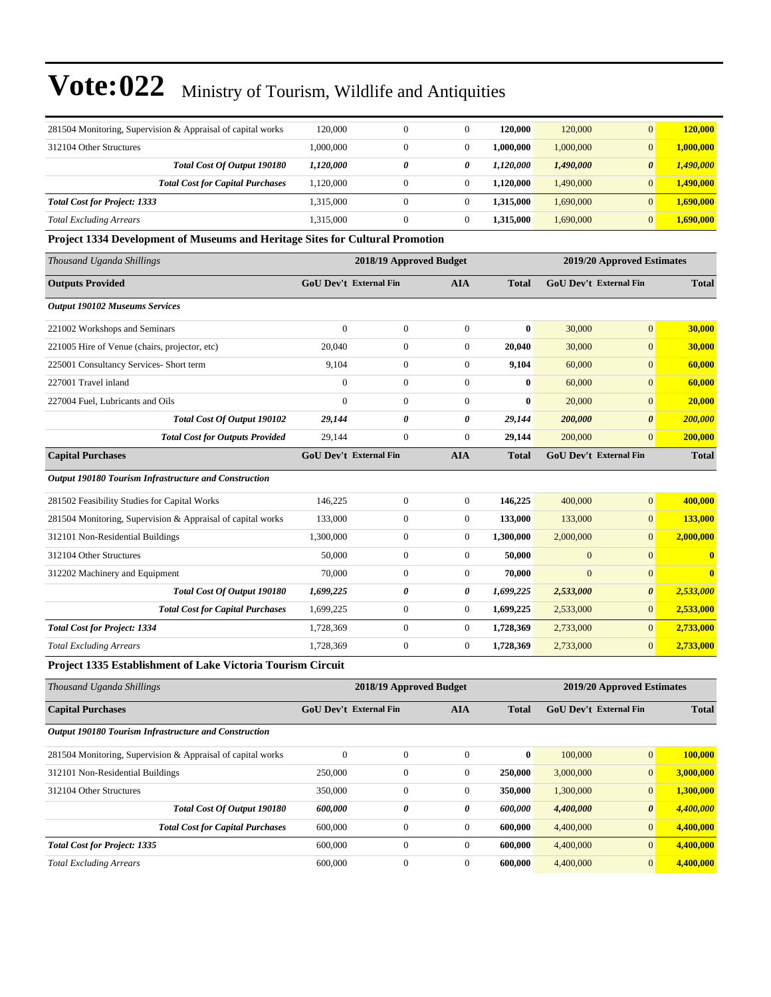| 281504 Monitoring, Supervision & Appraisal of capital works                   | 120,000          | $\boldsymbol{0}$              | $\boldsymbol{0}$ | 120,000      | 120,000      | $\mathbf{0}$                  | 120,000                 |
|-------------------------------------------------------------------------------|------------------|-------------------------------|------------------|--------------|--------------|-------------------------------|-------------------------|
| 312104 Other Structures                                                       | 1,000,000        | $\boldsymbol{0}$              | $\boldsymbol{0}$ | 1,000,000    | 1,000,000    | $\boldsymbol{0}$              | 1,000,000               |
| Total Cost Of Output 190180                                                   | 1,120,000        | 0                             | 0                | 1,120,000    | 1,490,000    | $\boldsymbol{\theta}$         | 1,490,000               |
| <b>Total Cost for Capital Purchases</b>                                       | 1,120,000        | $\boldsymbol{0}$              | $\boldsymbol{0}$ | 1,120,000    | 1,490,000    | $\mathbf{0}$                  | 1,490,000               |
| <b>Total Cost for Project: 1333</b>                                           | 1,315,000        | $\boldsymbol{0}$              | $\boldsymbol{0}$ | 1,315,000    | 1,690,000    | $\mathbf{0}$                  | 1,690,000               |
| <b>Total Excluding Arrears</b>                                                | 1,315,000        | $\boldsymbol{0}$              | $\boldsymbol{0}$ | 1,315,000    | 1,690,000    | $\mathbf{0}$                  | 1,690,000               |
| Project 1334 Development of Museums and Heritage Sites for Cultural Promotion |                  |                               |                  |              |              |                               |                         |
| Thousand Uganda Shillings                                                     |                  | 2018/19 Approved Budget       |                  |              |              | 2019/20 Approved Estimates    |                         |
| <b>Outputs Provided</b>                                                       |                  | GoU Dev't External Fin        | <b>AIA</b>       | <b>Total</b> |              | GoU Dev't External Fin        | <b>Total</b>            |
| <b>Output 190102 Museums Services</b>                                         |                  |                               |                  |              |              |                               |                         |
| 221002 Workshops and Seminars                                                 | $\mathbf{0}$     | $\boldsymbol{0}$              | $\boldsymbol{0}$ | $\bf{0}$     | 30,000       | $\overline{0}$                | 30,000                  |
| 221005 Hire of Venue (chairs, projector, etc)                                 | 20,040           | $\boldsymbol{0}$              | $\boldsymbol{0}$ | 20,040       | 30,000       | $\boldsymbol{0}$              | 30,000                  |
| 225001 Consultancy Services- Short term                                       | 9,104            | $\boldsymbol{0}$              | $\boldsymbol{0}$ | 9,104        | 60,000       | $\boldsymbol{0}$              | 60,000                  |
| 227001 Travel inland                                                          | $\boldsymbol{0}$ | $\mathbf{0}$                  | $\boldsymbol{0}$ | 0            | 60,000       | $\mathbf{0}$                  | 60,000                  |
| 227004 Fuel, Lubricants and Oils                                              | $\boldsymbol{0}$ | $\boldsymbol{0}$              | $\boldsymbol{0}$ | 0            | 20,000       | $\boldsymbol{0}$              | 20,000                  |
| Total Cost Of Output 190102                                                   | 29,144           | $\theta$                      | 0                | 29,144       | 200,000      | $\boldsymbol{\theta}$         | 200,000                 |
| <b>Total Cost for Outputs Provided</b>                                        | 29,144           | $\mathbf{0}$                  | $\boldsymbol{0}$ | 29,144       | 200,000      | $\mathbf{0}$                  | 200,000                 |
| <b>Capital Purchases</b>                                                      |                  | GoU Dev't External Fin        | <b>AIA</b>       | <b>Total</b> |              | GoU Dev't External Fin        | <b>Total</b>            |
| <b>Output 190180 Tourism Infrastructure and Construction</b>                  |                  |                               |                  |              |              |                               |                         |
| 281502 Feasibility Studies for Capital Works                                  | 146,225          | $\boldsymbol{0}$              | $\boldsymbol{0}$ | 146,225      | 400,000      | $\boldsymbol{0}$              | 400,000                 |
| 281504 Monitoring, Supervision & Appraisal of capital works                   | 133,000          | $\mathbf{0}$                  | $\boldsymbol{0}$ | 133,000      | 133,000      | $\mathbf{0}$                  | 133,000                 |
| 312101 Non-Residential Buildings                                              | 1,300,000        | $\boldsymbol{0}$              | 0                | 1,300,000    | 2,000,000    | $\boldsymbol{0}$              | 2,000,000               |
| 312104 Other Structures                                                       | 50,000           | $\boldsymbol{0}$              | $\boldsymbol{0}$ | 50,000       | $\mathbf{0}$ | $\mathbf{0}$                  | $\bf{0}$                |
| 312202 Machinery and Equipment                                                | 70,000           | $\mathbf{0}$                  | 0                | 70,000       | $\mathbf{0}$ | $\mathbf{0}$                  | $\overline{\mathbf{0}}$ |
| Total Cost Of Output 190180                                                   | 1,699,225        | $\boldsymbol{\theta}$         | 0                | 1,699,225    | 2,533,000    | $\boldsymbol{\theta}$         | 2,533,000               |
| <b>Total Cost for Capital Purchases</b>                                       | 1,699,225        | $\mathbf{0}$                  | $\boldsymbol{0}$ | 1,699,225    | 2,533,000    | $\mathbf{0}$                  | 2,533,000               |
| <b>Total Cost for Project: 1334</b>                                           | 1,728,369        | $\boldsymbol{0}$              | $\boldsymbol{0}$ | 1,728,369    | 2,733,000    | $\boldsymbol{0}$              | 2,733,000               |
| <b>Total Excluding Arrears</b>                                                | 1,728,369        | $\boldsymbol{0}$              | $\boldsymbol{0}$ | 1,728,369    | 2,733,000    | $\mathbf{0}$                  | 2,733,000               |
| <b>Project 1335 Establishment of Lake Victoria Tourism Circuit</b>            |                  |                               |                  |              |              |                               |                         |
| Thousand Uganda Shillings                                                     |                  | 2018/19 Approved Budget       |                  |              |              | 2019/20 Approved Estimates    |                         |
| <b>Capital Purchases</b>                                                      |                  | <b>GoU Dev't External Fin</b> | <b>AIA</b>       | <b>Total</b> |              | <b>GoU Dev't External Fin</b> | <b>Total</b>            |
| Output 190180 Tourism Infrastructure and Construction                         |                  |                               |                  |              |              |                               |                         |
| 281504 Monitoring, Supervision & Appraisal of capital works                   | $\boldsymbol{0}$ | $\boldsymbol{0}$              | $\boldsymbol{0}$ | $\bf{0}$     | 100,000      | 0                             | 100,000                 |
| 312101 Non-Residential Buildings                                              | 250,000          | $\boldsymbol{0}$              | $\boldsymbol{0}$ | 250,000      | 3,000,000    | $\mathbf{0}$                  | 3,000,000               |
| 312104 Other Structures                                                       | 350,000          | $\boldsymbol{0}$              | $\boldsymbol{0}$ | 350,000      | 1,300,000    | $\mathbf{0}$                  | 1,300,000               |
| Total Cost Of Output 190180                                                   | 600,000          | 0                             | 0                | 600,000      | 4,400,000    | 0                             | 4,400,000               |
| <b>Total Cost for Capital Purchases</b>                                       | 600,000          | $\boldsymbol{0}$              | $\boldsymbol{0}$ | 600,000      | 4,400,000    | $\mathbf{0}$                  | 4,400,000               |
| <b>Total Cost for Project: 1335</b>                                           | 600,000          | $\boldsymbol{0}$              | $\boldsymbol{0}$ | 600,000      | 4,400,000    | $\mathbf{0}$                  | 4,400,000               |
| <b>Total Excluding Arrears</b>                                                | 600,000          | $\boldsymbol{0}$              | $\mathbf{0}$     | 600,000      | 4,400,000    | 0                             | 4,400,000               |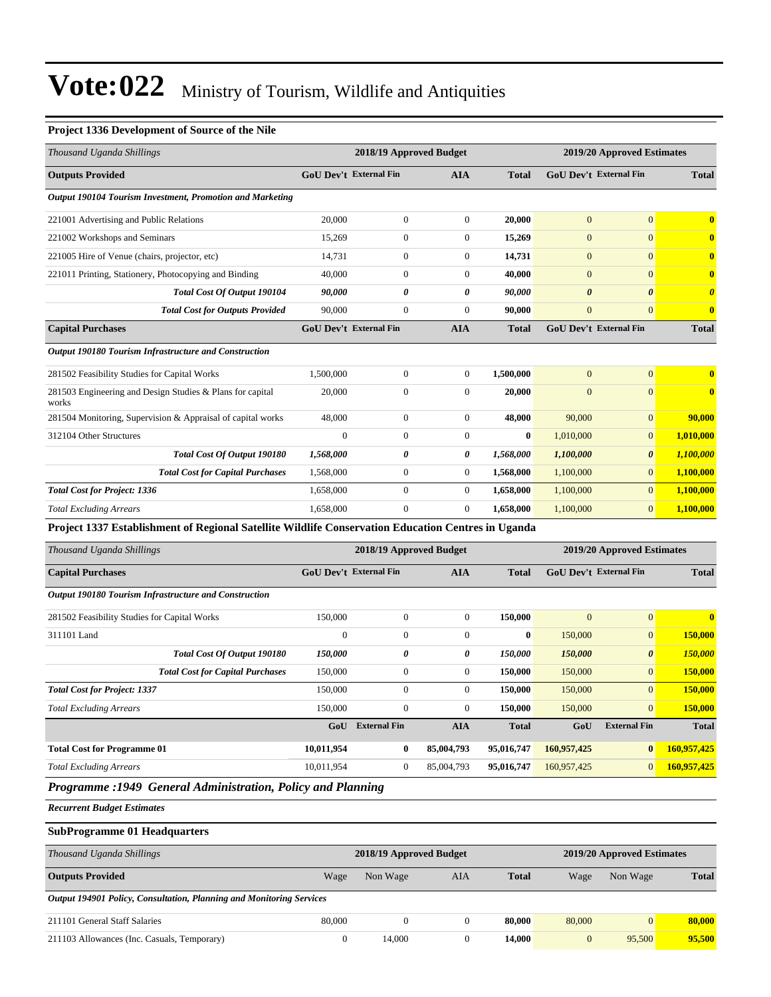#### **Project 1336 Development of Source of the Nile**

| Thousand Uganda Shillings                                                                          |                               | 2018/19 Approved Budget |                  |              |                        | 2019/20 Approved Estimates |                       |
|----------------------------------------------------------------------------------------------------|-------------------------------|-------------------------|------------------|--------------|------------------------|----------------------------|-----------------------|
| <b>Outputs Provided</b>                                                                            | <b>GoU Dev't External Fin</b> |                         | AIA              | <b>Total</b> | GoU Dev't External Fin |                            | <b>Total</b>          |
| Output 190104 Tourism Investment, Promotion and Marketing                                          |                               |                         |                  |              |                        |                            |                       |
| 221001 Advertising and Public Relations                                                            | 20,000                        | $\boldsymbol{0}$        | $\boldsymbol{0}$ | 20,000       | $\mathbf{0}$           | $\mathbf{0}$               | $\bf{0}$              |
| 221002 Workshops and Seminars                                                                      | 15,269                        | $\boldsymbol{0}$        | $\boldsymbol{0}$ | 15,269       | $\mathbf{0}$           | $\mathbf{0}$               | $\bf{0}$              |
| 221005 Hire of Venue (chairs, projector, etc)                                                      | 14,731                        | $\boldsymbol{0}$        | $\boldsymbol{0}$ | 14,731       | $\mathbf{0}$           | $\boldsymbol{0}$           | $\bf{0}$              |
| 221011 Printing, Stationery, Photocopying and Binding                                              | 40,000                        | $\boldsymbol{0}$        | $\boldsymbol{0}$ | 40,000       | $\mathbf{0}$           | $\boldsymbol{0}$           | $\bf{0}$              |
| Total Cost Of Output 190104                                                                        | 90,000                        | 0                       | 0                | 90,000       | $\boldsymbol{\theta}$  | $\boldsymbol{\theta}$      | $\boldsymbol{\theta}$ |
| <b>Total Cost for Outputs Provided</b>                                                             | 90,000                        | $\boldsymbol{0}$        | $\boldsymbol{0}$ | 90,000       | $\mathbf{0}$           | $\boldsymbol{0}$           | $\bf{0}$              |
| <b>Capital Purchases</b>                                                                           | <b>GoU Dev't External Fin</b> |                         | <b>AIA</b>       | <b>Total</b> | GoU Dev't External Fin |                            | <b>Total</b>          |
| Output 190180 Tourism Infrastructure and Construction                                              |                               |                         |                  |              |                        |                            |                       |
| 281502 Feasibility Studies for Capital Works                                                       | 1,500,000                     | $\boldsymbol{0}$        | $\boldsymbol{0}$ | 1,500,000    | $\mathbf{0}$           | $\boldsymbol{0}$           | $\bf{0}$              |
| 281503 Engineering and Design Studies & Plans for capital<br>works                                 | 20,000                        | $\boldsymbol{0}$        | $\boldsymbol{0}$ | 20,000       | $\mathbf{0}$           | $\boldsymbol{0}$           | $\bf{0}$              |
| 281504 Monitoring, Supervision & Appraisal of capital works                                        | 48,000                        | 0                       | $\mathbf{0}$     | 48,000       | 90,000                 | $\mathbf{0}$               | 90,000                |
| 312104 Other Structures                                                                            | $\boldsymbol{0}$              | $\boldsymbol{0}$        | $\mathbf{0}$     | $\bf{0}$     | 1,010,000              | $\boldsymbol{0}$           | 1,010,000             |
| Total Cost Of Output 190180                                                                        | 1,568,000                     | 0                       | 0                | 1,568,000    | 1,100,000              | $\boldsymbol{\theta}$      | 1,100,000             |
| <b>Total Cost for Capital Purchases</b>                                                            | 1,568,000                     | $\boldsymbol{0}$        | $\mathbf{0}$     | 1,568,000    | 1,100,000              | $\mathbf{0}$               | 1,100,000             |
| <b>Total Cost for Project: 1336</b>                                                                | 1,658,000                     | $\boldsymbol{0}$        | $\boldsymbol{0}$ | 1,658,000    | 1,100,000              | $\boldsymbol{0}$           | 1,100,000             |
| <b>Total Excluding Arrears</b>                                                                     | 1,658,000                     | $\mathbf{0}$            | $\mathbf{0}$     | 1,658,000    | 1,100,000              | $\mathbf{0}$               | 1,100,000             |
| Project 1337 Establishment of Regional Satellite Wildlife Conservation Education Centres in Uganda |                               |                         |                  |              |                        |                            |                       |
| Thousand Uganda Shillings                                                                          |                               | 2018/19 Approved Budget |                  |              |                        | 2019/20 Approved Estimates |                       |
| <b>Capital Purchases</b>                                                                           | <b>GoU Dev't External Fin</b> |                         | <b>AIA</b>       | <b>Total</b> | GoU Dev't External Fin |                            | <b>Total</b>          |
| <b>Output 190180 Tourism Infrastructure and Construction</b>                                       |                               |                         |                  |              |                        |                            |                       |
| 281502 Feasibility Studies for Capital Works                                                       | 150,000                       | $\boldsymbol{0}$        | $\mathbf{0}$     | 150,000      | $\mathbf{0}$           | $\boldsymbol{0}$           | $\bf{0}$              |
| 311101 Land                                                                                        | $\boldsymbol{0}$              | $\boldsymbol{0}$        | $\mathbf{0}$     | $\bf{0}$     | 150,000                | $\mathbf{0}$               | 150,000               |
| Total Cost Of Output 190180                                                                        | 150,000                       | 0                       | 0                | 150,000      | 150,000                | $\boldsymbol{\theta}$      | 150,000               |
| <b>Total Cost for Capital Purchases</b>                                                            | 150,000                       | $\boldsymbol{0}$        | $\mathbf{0}$     | 150,000      | 150,000                | $\mathbf{0}$               | 150,000               |
| <b>Total Cost for Project: 1337</b>                                                                | 150,000                       | $\boldsymbol{0}$        | $\mathbf{0}$     | 150,000      | 150,000                | $\mathbf{0}$               | 150,000               |
| <b>Total Excluding Arrears</b>                                                                     | 150,000                       | $\boldsymbol{0}$        | $\boldsymbol{0}$ | 150,000      | 150,000                | $\mathbf{0}$               | 150,000               |
|                                                                                                    | GoU                           | <b>External Fin</b>     | <b>AIA</b>       | <b>Total</b> | GoU                    | <b>External Fin</b>        | <b>Total</b>          |
| <b>Total Cost for Programme 01</b>                                                                 | 10,011,954                    | $\bf{0}$                | 85,004,793       | 95,016,747   | 160,957,425            | $\bf{0}$                   | 160,957,425           |
| <b>Total Excluding Arrears</b>                                                                     | 10,011,954                    | $\mathbf{0}$            | 85,004,793       | 95,016,747   | 160,957,425            | $\boldsymbol{0}$           | 160,957,425           |
| Programme : 1949 General Administration, Policy and Planning                                       |                               |                         |                  |              |                        |                            |                       |
| <b>Recurrent Budget Estimates</b>                                                                  |                               |                         |                  |              |                        |                            |                       |
| <b>SubProgramme 01 Headquarters</b>                                                                |                               |                         |                  |              |                        |                            |                       |
| Thousand Uganda Shillings                                                                          |                               | 2018/19 Approved Budget |                  |              |                        | 2019/20 Approved Estimates |                       |
| <b>Outputs Provided</b>                                                                            | Wage                          | Non Wage                | AIA              | <b>Total</b> | Wage                   | Non Wage                   | <b>Total</b>          |
|                                                                                                    |                               |                         |                  |              |                        |                            |                       |

211101 General Staff Salaries 80,000 0 0 **80,000** 80,000 0 **80,000** 211103 Allowances (Inc. Casuals, Temporary) 0 14,000 0 **14,000** 0 95,500 **95,500**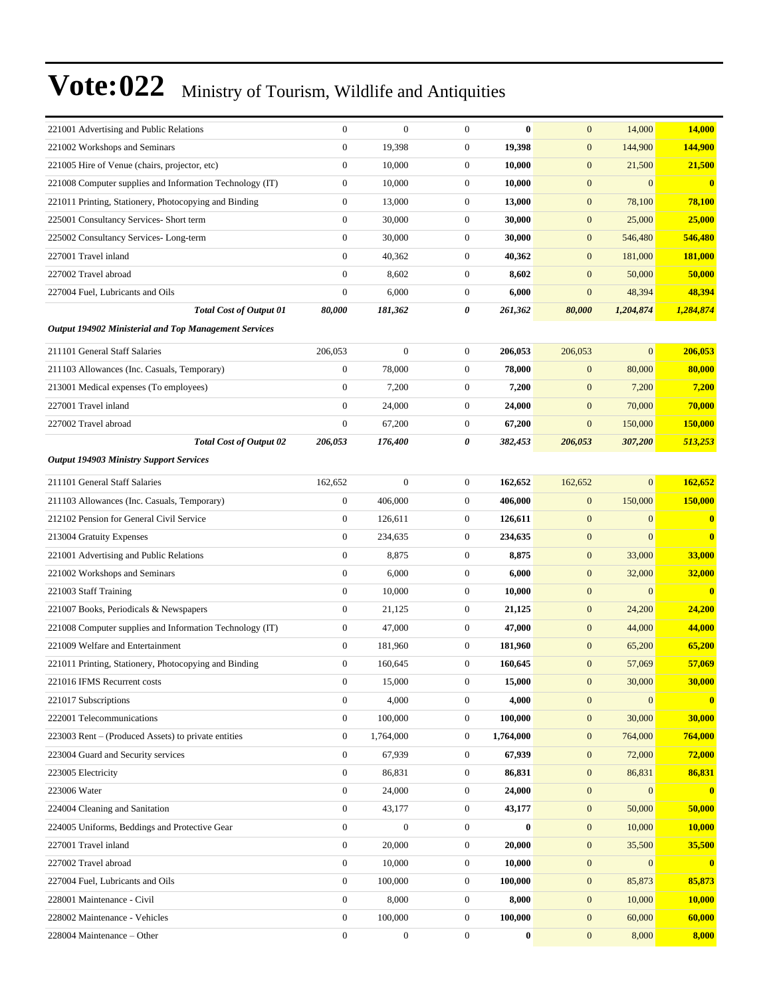| 221001 Advertising and Public Relations                      | $\boldsymbol{0}$ | $\mathbf{0}$     | $\boldsymbol{0}$ | $\bf{0}$  | $\mathbf{0}$     | 14,000           | 14,000         |
|--------------------------------------------------------------|------------------|------------------|------------------|-----------|------------------|------------------|----------------|
| 221002 Workshops and Seminars                                | $\boldsymbol{0}$ | 19,398           | $\boldsymbol{0}$ | 19,398    | $\mathbf{0}$     | 144,900          | 144,900        |
| 221005 Hire of Venue (chairs, projector, etc)                | $\boldsymbol{0}$ | 10,000           | $\boldsymbol{0}$ | 10,000    | $\boldsymbol{0}$ | 21,500           | 21,500         |
| 221008 Computer supplies and Information Technology (IT)     | $\boldsymbol{0}$ | 10,000           | $\boldsymbol{0}$ | 10,000    | $\mathbf{0}$     | $\overline{0}$   | $\bf{0}$       |
| 221011 Printing, Stationery, Photocopying and Binding        | $\boldsymbol{0}$ | 13,000           | $\boldsymbol{0}$ | 13,000    | $\boldsymbol{0}$ | 78,100           | 78,100         |
| 225001 Consultancy Services- Short term                      | $\boldsymbol{0}$ | 30,000           | $\boldsymbol{0}$ | 30,000    | $\boldsymbol{0}$ | 25,000           | 25,000         |
| 225002 Consultancy Services-Long-term                        | $\boldsymbol{0}$ | 30,000           | $\boldsymbol{0}$ | 30,000    | $\mathbf{0}$     | 546,480          | 546,480        |
| 227001 Travel inland                                         | $\boldsymbol{0}$ | 40,362           | $\boldsymbol{0}$ | 40,362    | $\mathbf{0}$     | 181,000          | <b>181,000</b> |
| 227002 Travel abroad                                         | $\boldsymbol{0}$ | 8,602            | $\boldsymbol{0}$ | 8,602     | $\mathbf{0}$     | 50,000           | 50,000         |
| 227004 Fuel, Lubricants and Oils                             | $\mathbf{0}$     | 6,000            | $\boldsymbol{0}$ | 6,000     | $\mathbf{0}$     | 48,394           | 48,394         |
| <b>Total Cost of Output 01</b>                               | 80,000           | 181,362          | 0                | 261,362   | 80,000           | 1,204,874        | 1,284,874      |
| <b>Output 194902 Ministerial and Top Management Services</b> |                  |                  |                  |           |                  |                  |                |
| 211101 General Staff Salaries                                | 206,053          | $\boldsymbol{0}$ | $\boldsymbol{0}$ | 206,053   | 206,053          | $\overline{0}$   | 206,053        |
| 211103 Allowances (Inc. Casuals, Temporary)                  | $\boldsymbol{0}$ | 78,000           | $\boldsymbol{0}$ | 78,000    | $\mathbf{0}$     | 80,000           | 80,000         |
| 213001 Medical expenses (To employees)                       | $\boldsymbol{0}$ | 7,200            | $\boldsymbol{0}$ | 7,200     | $\mathbf{0}$     | 7,200            | 7,200          |
| 227001 Travel inland                                         | $\boldsymbol{0}$ | 24,000           | $\boldsymbol{0}$ | 24,000    | $\boldsymbol{0}$ | 70,000           | 70,000         |
| 227002 Travel abroad                                         | $\boldsymbol{0}$ | 67,200           | $\boldsymbol{0}$ | 67,200    | $\mathbf{0}$     | 150,000          | 150,000        |
| <b>Total Cost of Output 02</b>                               | 206,053          | 176,400          | 0                | 382,453   | 206,053          | 307,200          | 513,253        |
| <b>Output 194903 Ministry Support Services</b>               |                  |                  |                  |           |                  |                  |                |
| 211101 General Staff Salaries                                | 162,652          | $\boldsymbol{0}$ | $\boldsymbol{0}$ | 162,652   | 162,652          | $\overline{0}$   | 162,652        |
| 211103 Allowances (Inc. Casuals, Temporary)                  | $\boldsymbol{0}$ | 406,000          | $\boldsymbol{0}$ | 406,000   | $\mathbf{0}$     | 150,000          | 150,000        |
| 212102 Pension for General Civil Service                     | $\boldsymbol{0}$ | 126,611          | $\boldsymbol{0}$ | 126,611   | $\mathbf{0}$     | $\overline{0}$   | $\bf{0}$       |
| 213004 Gratuity Expenses                                     | $\boldsymbol{0}$ | 234,635          | $\boldsymbol{0}$ | 234,635   | $\mathbf{0}$     | $\overline{0}$   | $\mathbf{0}$   |
| 221001 Advertising and Public Relations                      | $\boldsymbol{0}$ | 8,875            | $\boldsymbol{0}$ | 8,875     | $\mathbf{0}$     | 33,000           | 33,000         |
| 221002 Workshops and Seminars                                | $\boldsymbol{0}$ | 6,000            | $\boldsymbol{0}$ | 6,000     | $\boldsymbol{0}$ | 32,000           | 32,000         |
| 221003 Staff Training                                        | $\boldsymbol{0}$ | 10,000           | $\boldsymbol{0}$ | 10,000    | $\mathbf{0}$     | $\overline{0}$   | $\bf{0}$       |
| 221007 Books, Periodicals & Newspapers                       | $\boldsymbol{0}$ | 21,125           | $\boldsymbol{0}$ | 21,125    | $\boldsymbol{0}$ | 24,200           | <b>24,200</b>  |
| 221008 Computer supplies and Information Technology (IT)     | $\boldsymbol{0}$ | 47,000           | $\boldsymbol{0}$ | 47,000    | $\mathbf{0}$     | 44,000           | 44,000         |
| 221009 Welfare and Entertainment                             | $\boldsymbol{0}$ | 181,960          | $\boldsymbol{0}$ | 181,960   | $\mathbf{0}$     | 65,200           | 65,200         |
| 221011 Printing, Stationery, Photocopying and Binding        | $\boldsymbol{0}$ | 160,645          | $\boldsymbol{0}$ | 160,645   | $\boldsymbol{0}$ | 57,069           | 57,069         |
| 221016 IFMS Recurrent costs                                  | $\mathbf{0}$     | 15,000           | $\boldsymbol{0}$ | 15,000    | $\boldsymbol{0}$ | 30,000           | 30.000         |
| 221017 Subscriptions                                         | $\boldsymbol{0}$ | 4,000            | $\boldsymbol{0}$ | 4,000     | $\boldsymbol{0}$ | $\mathbf{0}$     | $\bf{0}$       |
| 222001 Telecommunications                                    | $\boldsymbol{0}$ | 100,000          | $\boldsymbol{0}$ | 100,000   | $\boldsymbol{0}$ | 30,000           | 30,000         |
| 223003 Rent – (Produced Assets) to private entities          | $\boldsymbol{0}$ | 1,764,000        | $\boldsymbol{0}$ | 1,764,000 | $\boldsymbol{0}$ | 764,000          | 764,000        |
| 223004 Guard and Security services                           | $\mathbf{0}$     | 67,939           | $\boldsymbol{0}$ | 67,939    | $\mathbf{0}$     | 72,000           | <b>72,000</b>  |
| 223005 Electricity                                           | $\boldsymbol{0}$ | 86,831           | $\boldsymbol{0}$ | 86,831    | $\mathbf{0}$     | 86,831           | 86,831         |
| 223006 Water                                                 | $\boldsymbol{0}$ | 24,000           | $\boldsymbol{0}$ | 24,000    | $\boldsymbol{0}$ | $\boldsymbol{0}$ | $\bf{0}$       |
| 224004 Cleaning and Sanitation                               | $\boldsymbol{0}$ | 43,177           | $\boldsymbol{0}$ | 43,177    | $\mathbf{0}$     | 50,000           | 50,000         |
| 224005 Uniforms, Beddings and Protective Gear                | $\boldsymbol{0}$ | $\mathbf{0}$     | $\boldsymbol{0}$ | $\bf{0}$  | $\mathbf{0}$     | 10,000           | 10,000         |
| 227001 Travel inland                                         | $\boldsymbol{0}$ | 20,000           | $\boldsymbol{0}$ | 20,000    | $\mathbf{0}$     | 35,500           | 35,500         |
| 227002 Travel abroad                                         | $\boldsymbol{0}$ | 10,000           | $\boldsymbol{0}$ | 10,000    | $\mathbf{0}$     | $\overline{0}$   | $\bf{0}$       |
| 227004 Fuel, Lubricants and Oils                             | $\boldsymbol{0}$ | 100,000          | $\boldsymbol{0}$ | 100,000   | $\boldsymbol{0}$ | 85,873           | 85,873         |
| 228001 Maintenance - Civil                                   | $\boldsymbol{0}$ | 8,000            | $\boldsymbol{0}$ | 8,000     | $\mathbf{0}$     | 10,000           | 10,000         |
| 228002 Maintenance - Vehicles                                | $\boldsymbol{0}$ | 100,000          | $\boldsymbol{0}$ | 100,000   | $\boldsymbol{0}$ | 60,000           | 60,000         |
| 228004 Maintenance – Other                                   | $\boldsymbol{0}$ | $\boldsymbol{0}$ | $\boldsymbol{0}$ | $\bf{0}$  | $\boldsymbol{0}$ | 8,000            | 8,000          |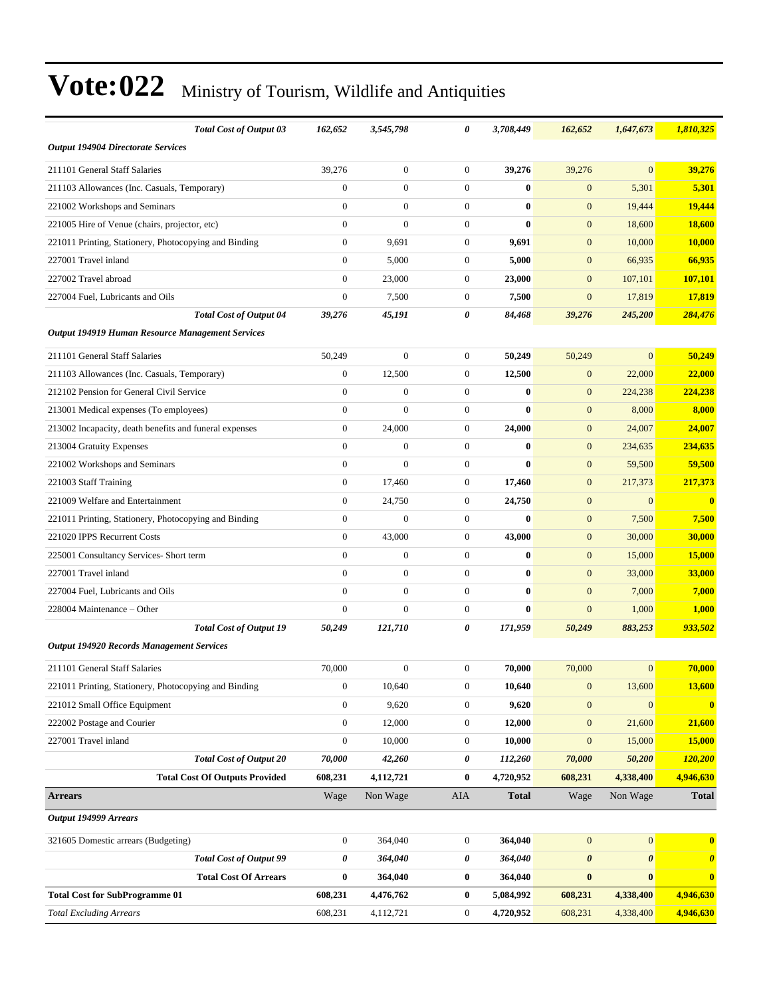| <b>Total Cost of Output 03</b>                          | 162,652          | 3,545,798        | 0                | 3,708,449    | 162,652               | 1,647,673             | 1,810,325             |
|---------------------------------------------------------|------------------|------------------|------------------|--------------|-----------------------|-----------------------|-----------------------|
| <b>Output 194904 Directorate Services</b>               |                  |                  |                  |              |                       |                       |                       |
| 211101 General Staff Salaries                           | 39,276           | $\overline{0}$   | $\overline{0}$   | 39,276       | 39,276                | $\overline{0}$        | 39,276                |
| 211103 Allowances (Inc. Casuals, Temporary)             | $\mathbf{0}$     | $\mathbf{0}$     | $\overline{0}$   | $\bf{0}$     | $\mathbf{0}$          | 5,301                 | 5,301                 |
| 221002 Workshops and Seminars                           | $\mathbf{0}$     | $\overline{0}$   | $\boldsymbol{0}$ | $\bf{0}$     | $\mathbf{0}$          | 19,444                | 19,444                |
| 221005 Hire of Venue (chairs, projector, etc)           | $\mathbf{0}$     | $\overline{0}$   | $\overline{0}$   | $\bf{0}$     | $\mathbf{0}$          | 18,600                | <b>18,600</b>         |
| 221011 Printing, Stationery, Photocopying and Binding   | $\mathbf{0}$     | 9,691            | $\boldsymbol{0}$ | 9,691        | $\mathbf{0}$          | 10,000                | <b>10,000</b>         |
| 227001 Travel inland                                    | $\mathbf{0}$     | 5,000            | $\overline{0}$   | 5,000        | $\mathbf{0}$          | 66,935                | 66,935                |
| 227002 Travel abroad                                    | $\mathbf{0}$     | 23,000           | $\overline{0}$   | 23,000       | $\mathbf{0}$          | 107,101               | 107,101               |
| 227004 Fuel, Lubricants and Oils                        | $\mathbf{0}$     | 7,500            | $\boldsymbol{0}$ | 7,500        | $\mathbf{0}$          | 17,819                | 17,819                |
| <b>Total Cost of Output 04</b>                          | 39,276           | 45,191           | 0                | 84,468       | 39,276                | 245,200               | 284,476               |
| <b>Output 194919 Human Resource Management Services</b> |                  |                  |                  |              |                       |                       |                       |
| 211101 General Staff Salaries                           | 50,249           | $\overline{0}$   | $\boldsymbol{0}$ | 50,249       | 50,249                | $\overline{0}$        | 50,249                |
| 211103 Allowances (Inc. Casuals, Temporary)             | $\mathbf{0}$     | 12,500           | $\boldsymbol{0}$ | 12,500       | $\mathbf{0}$          | 22,000                | 22,000                |
| 212102 Pension for General Civil Service                | $\boldsymbol{0}$ | $\overline{0}$   | $\overline{0}$   | $\bf{0}$     | $\mathbf{0}$          | 224,238               | 224,238               |
| 213001 Medical expenses (To employees)                  | $\mathbf{0}$     | $\overline{0}$   | $\overline{0}$   | $\mathbf{0}$ | $\mathbf{0}$          | 8,000                 | 8,000                 |
| 213002 Incapacity, death benefits and funeral expenses  | $\mathbf{0}$     | 24,000           | $\overline{0}$   | 24,000       | $\mathbf{0}$          | 24,007                | 24,007                |
| 213004 Gratuity Expenses                                | $\mathbf{0}$     | $\overline{0}$   | $\mathbf{0}$     | $\bf{0}$     | $\mathbf{0}$          | 234,635               | 234,635               |
| 221002 Workshops and Seminars                           | $\mathbf{0}$     | $\overline{0}$   | $\overline{0}$   | $\bf{0}$     | $\mathbf{0}$          | 59,500                | 59,500                |
| 221003 Staff Training                                   | $\boldsymbol{0}$ | 17,460           | $\boldsymbol{0}$ | 17,460       | $\mathbf{0}$          | 217,373               | 217,373               |
| 221009 Welfare and Entertainment                        | $\mathbf{0}$     | 24,750           | $\boldsymbol{0}$ | 24,750       | $\mathbf{0}$          | $\mathbf{0}$          | $\bf{0}$              |
| 221011 Printing, Stationery, Photocopying and Binding   | $\mathbf{0}$     | $\Omega$         | 0                | $\bf{0}$     | $\mathbf{0}$          | 7,500                 | 7,500                 |
| 221020 IPPS Recurrent Costs                             | $\mathbf{0}$     | 43,000           | $\boldsymbol{0}$ | 43,000       | $\mathbf{0}$          | 30,000                | 30,000                |
| 225001 Consultancy Services- Short term                 | $\mathbf{0}$     | $\boldsymbol{0}$ | $\overline{0}$   | $\bf{0}$     | $\mathbf{0}$          | 15,000                | 15,000                |
| 227001 Travel inland                                    | $\mathbf{0}$     | $\boldsymbol{0}$ | $\overline{0}$   | $\bf{0}$     | $\mathbf{0}$          | 33,000                | 33,000                |
| 227004 Fuel, Lubricants and Oils                        | $\mathbf{0}$     | $\overline{0}$   | $\overline{0}$   | $\bf{0}$     | $\mathbf{0}$          | 7,000                 | 7,000                 |
| 228004 Maintenance - Other                              | $\theta$         | $\overline{0}$   | $\overline{0}$   | $\bf{0}$     | $\mathbf{0}$          | 1,000                 | 1,000                 |
| <b>Total Cost of Output 19</b>                          | 50,249           | 121,710          | 0                | 171,959      | 50,249                | 883,253               | 933,502               |
| <b>Output 194920 Records Management Services</b>        |                  |                  |                  |              |                       |                       |                       |
| 211101 General Staff Salaries                           | 70,000           | $\boldsymbol{0}$ | $\boldsymbol{0}$ | 70,000       | 70,000                | $\mathbf{0}$          | 70,000                |
| 221011 Printing, Stationery, Photocopying and Binding   | $\boldsymbol{0}$ | 10,640           | $\boldsymbol{0}$ | 10,640       | $\mathbf{0}$          | 13,600                | 13,600                |
| 221012 Small Office Equipment                           | $\boldsymbol{0}$ | 9,620            | $\boldsymbol{0}$ | 9,620        | $\mathbf{0}$          | $\mathbf{0}$          | $\mathbf{0}$          |
| 222002 Postage and Courier                              | $\boldsymbol{0}$ | 12,000           | $\boldsymbol{0}$ | 12,000       | $\mathbf{0}$          | 21,600                | 21,600                |
| 227001 Travel inland                                    | $\boldsymbol{0}$ | 10,000           | $\boldsymbol{0}$ | 10,000       | $\boldsymbol{0}$      | 15,000                | 15,000                |
| <b>Total Cost of Output 20</b>                          | 70,000           | 42,260           | 0                | 112,260      | 70,000                | 50,200                | 120,200               |
| <b>Total Cost Of Outputs Provided</b>                   | 608,231          | 4,112,721        | $\bf{0}$         | 4,720,952    | 608,231               | 4,338,400             | 4,946,630             |
| <b>Arrears</b>                                          | Wage             | Non Wage         | <b>AIA</b>       | <b>Total</b> | Wage                  | Non Wage              | <b>Total</b>          |
| Output 194999 Arrears                                   |                  |                  |                  |              |                       |                       |                       |
| 321605 Domestic arrears (Budgeting)                     | $\boldsymbol{0}$ | 364,040          | $\boldsymbol{0}$ | 364,040      | $\boldsymbol{0}$      | $\boldsymbol{0}$      | $\bf{0}$              |
| <b>Total Cost of Output 99</b>                          | 0                | 364,040          | 0                | 364,040      | $\boldsymbol{\theta}$ | $\boldsymbol{\theta}$ | $\boldsymbol{\theta}$ |
| <b>Total Cost Of Arrears</b>                            | $\pmb{0}$        | 364,040          | $\boldsymbol{0}$ | 364,040      | $\bf{0}$              | $\bf{0}$              | $\boldsymbol{0}$      |
| <b>Total Cost for SubProgramme 01</b>                   | 608,231          | 4,476,762        | 0                | 5,084,992    | 608,231               | 4,338,400             | 4,946,630             |
| <b>Total Excluding Arrears</b>                          | 608,231          | 4,112,721        | $\boldsymbol{0}$ | 4,720,952    | 608,231               | 4,338,400             | 4,946,630             |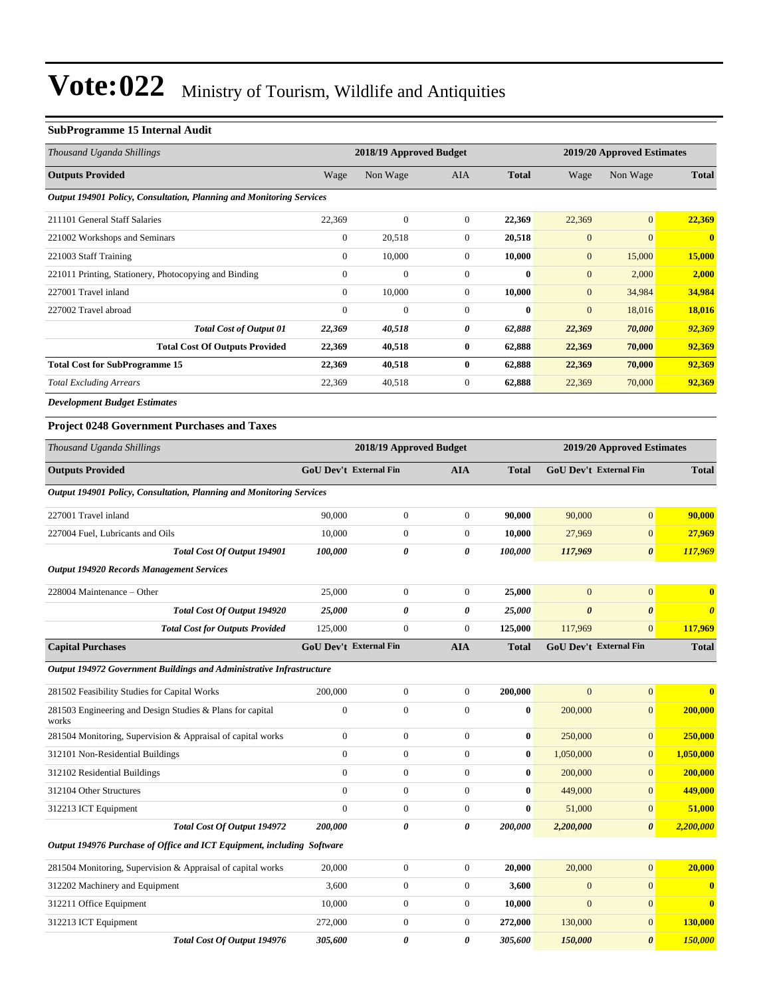#### **SubProgramme 15 Internal Audit**

| Thousand Uganda Shillings                                            | 2018/19 Approved Budget |                  |                |              | 2019/20 Approved Estimates |                |              |
|----------------------------------------------------------------------|-------------------------|------------------|----------------|--------------|----------------------------|----------------|--------------|
| <b>Outputs Provided</b>                                              | Wage                    | Non Wage         | <b>AIA</b>     | <b>Total</b> | Wage                       | Non Wage       | <b>Total</b> |
| Output 194901 Policy, Consultation, Planning and Monitoring Services |                         |                  |                |              |                            |                |              |
| 211101 General Staff Salaries                                        | 22,369                  | $\overline{0}$   | $\mathbf{0}$   | 22,369       | 22,369                     | $\overline{0}$ | 22,369       |
| 221002 Workshops and Seminars                                        | $\mathbf{0}$            | 20,518           | $\mathbf{0}$   | 20,518       | $\overline{0}$             | $\overline{0}$ | $\mathbf{0}$ |
| 221003 Staff Training                                                | $\mathbf{0}$            | 10,000           | $\overline{0}$ | 10,000       | $\mathbf{0}$               | 15,000         | 15,000       |
| 221011 Printing, Stationery, Photocopying and Binding                | $\mathbf{0}$            | $\boldsymbol{0}$ | $\Omega$       | $\mathbf{0}$ | $\mathbf{0}$               | 2,000          | 2,000        |
| 227001 Travel inland                                                 | $\mathbf{0}$            | 10,000           | $\overline{0}$ | 10,000       | $\mathbf{0}$               | 34,984         | 34,984       |
| 227002 Travel abroad                                                 | $\mathbf{0}$            | $\boldsymbol{0}$ | $\Omega$       | $\bf{0}$     | $\mathbf{0}$               | 18,016         | 18,016       |
| <b>Total Cost of Output 01</b>                                       | 22,369                  | 40,518           | 0              | 62,888       | 22,369                     | 70,000         | 92,369       |
| <b>Total Cost Of Outputs Provided</b>                                | 22,369                  | 40,518           | $\bf{0}$       | 62,888       | 22,369                     | 70,000         | 92,369       |
| <b>Total Cost for SubProgramme 15</b>                                | 22,369                  | 40,518           | $\bf{0}$       | 62,888       | 22,369                     | 70,000         | 92,369       |
| <b>Total Excluding Arrears</b>                                       | 22,369                  | 40,518           | $\overline{0}$ | 62,888       | 22,369                     | 70,000         | 92,369       |
|                                                                      |                         |                  |                |              |                            |                |              |

*Development Budget Estimates*

#### **Project 0248 Government Purchases and Taxes**

| Thousand Uganda Shillings                                              | 2018/19 Approved Budget       |                       |                  | 2019/20 Approved Estimates |                               |                               |                       |
|------------------------------------------------------------------------|-------------------------------|-----------------------|------------------|----------------------------|-------------------------------|-------------------------------|-----------------------|
| <b>Outputs Provided</b>                                                | <b>GoU Dev't External Fin</b> |                       | <b>AIA</b>       | <b>Total</b>               | <b>GoU Dev't External Fin</b> |                               | <b>Total</b>          |
| Output 194901 Policy, Consultation, Planning and Monitoring Services   |                               |                       |                  |                            |                               |                               |                       |
| 227001 Travel inland                                                   | 90,000                        | $\mathbf{0}$          | $\overline{0}$   | 90,000                     | 90,000                        | $\overline{0}$                | 90,000                |
| 227004 Fuel. Lubricants and Oils                                       | 10,000                        | $\boldsymbol{0}$      | $\boldsymbol{0}$ | 10,000                     | 27,969                        | $\overline{0}$                | 27,969                |
| Total Cost Of Output 194901                                            | 100,000                       | $\theta$              | 0                | 100,000                    | 117,969                       | $\boldsymbol{\theta}$         | 117,969               |
| <b>Output 194920 Records Management Services</b>                       |                               |                       |                  |                            |                               |                               |                       |
| 228004 Maintenance - Other                                             | 25,000                        | $\mathbf{0}$          | $\overline{0}$   | 25,000                     | $\overline{0}$                | $\overline{0}$                | $\mathbf{0}$          |
| Total Cost Of Output 194920                                            | 25,000                        | 0                     | 0                | 25,000                     | $\boldsymbol{\theta}$         | $\boldsymbol{\theta}$         | $\boldsymbol{\theta}$ |
| <b>Total Cost for Outputs Provided</b>                                 | 125,000                       | $\mathbf{0}$          | $\boldsymbol{0}$ | 125,000                    | 117,969                       | $\mathbf{0}$                  | 117,969               |
| <b>Capital Purchases</b>                                               | <b>GoU Dev't External Fin</b> |                       | <b>AIA</b>       | <b>Total</b>               |                               | <b>GoU Dev't External Fin</b> | <b>Total</b>          |
| Output 194972 Government Buildings and Administrative Infrastructure   |                               |                       |                  |                            |                               |                               |                       |
| 281502 Feasibility Studies for Capital Works                           | 200,000                       | $\boldsymbol{0}$      | $\mathbf{0}$     | 200,000                    | $\mathbf{0}$                  | $\mathbf{0}$                  | $\mathbf{0}$          |
| 281503 Engineering and Design Studies & Plans for capital<br>works     | $\boldsymbol{0}$              | $\mathbf{0}$          | $\mathbf{0}$     | $\bf{0}$                   | 200,000                       | $\boldsymbol{0}$              | 200,000               |
| 281504 Monitoring, Supervision & Appraisal of capital works            | $\mathbf{0}$                  | $\boldsymbol{0}$      | $\overline{0}$   | $\bf{0}$                   | 250,000                       | $\overline{0}$                | 250,000               |
| 312101 Non-Residential Buildings                                       | $\boldsymbol{0}$              | $\mathbf{0}$          | $\boldsymbol{0}$ | $\bf{0}$                   | 1,050,000                     | $\overline{0}$                | 1,050,000             |
| 312102 Residential Buildings                                           | $\mathbf{0}$                  | $\mathbf{0}$          | $\overline{0}$   | $\bf{0}$                   | 200,000                       | $\mathbf{0}$                  | 200,000               |
| 312104 Other Structures                                                | $\theta$                      | $\mathbf{0}$          | $\mathbf{0}$     | $\bf{0}$                   | 449,000                       | $\overline{0}$                | 449,000               |
| 312213 ICT Equipment                                                   | $\theta$                      | $\mathbf{0}$          | $\overline{0}$   | $\bf{0}$                   | 51,000                        | $\overline{0}$                | 51,000                |
| Total Cost Of Output 194972                                            | 200,000                       | $\boldsymbol{\theta}$ | 0                | 200,000                    | 2,200,000                     | $\boldsymbol{\theta}$         | 2,200,000             |
| Output 194976 Purchase of Office and ICT Equipment, including Software |                               |                       |                  |                            |                               |                               |                       |
| 281504 Monitoring, Supervision & Appraisal of capital works            | 20,000                        | $\mathbf{0}$          | $\overline{0}$   | 20,000                     | 20,000                        | $\overline{0}$                | 20,000                |
| 312202 Machinery and Equipment                                         | 3.600                         | $\mathbf{0}$          | $\overline{0}$   | 3,600                      | $\mathbf{0}$                  | $\overline{0}$                | $\bf{0}$              |
| 312211 Office Equipment                                                | 10,000                        | $\mathbf{0}$          | $\overline{0}$   | 10,000                     | $\mathbf{0}$                  | $\mathbf{0}$                  | $\bf{0}$              |
| 312213 ICT Equipment                                                   | 272,000                       | $\mathbf{0}$          | $\boldsymbol{0}$ | 272,000                    | 130,000                       | $\boldsymbol{0}$              | <b>130,000</b>        |
| Total Cost Of Output 194976                                            | 305,600                       | $\theta$              | 0                | 305,600                    | 150,000                       | $\boldsymbol{\theta}$         | 150,000               |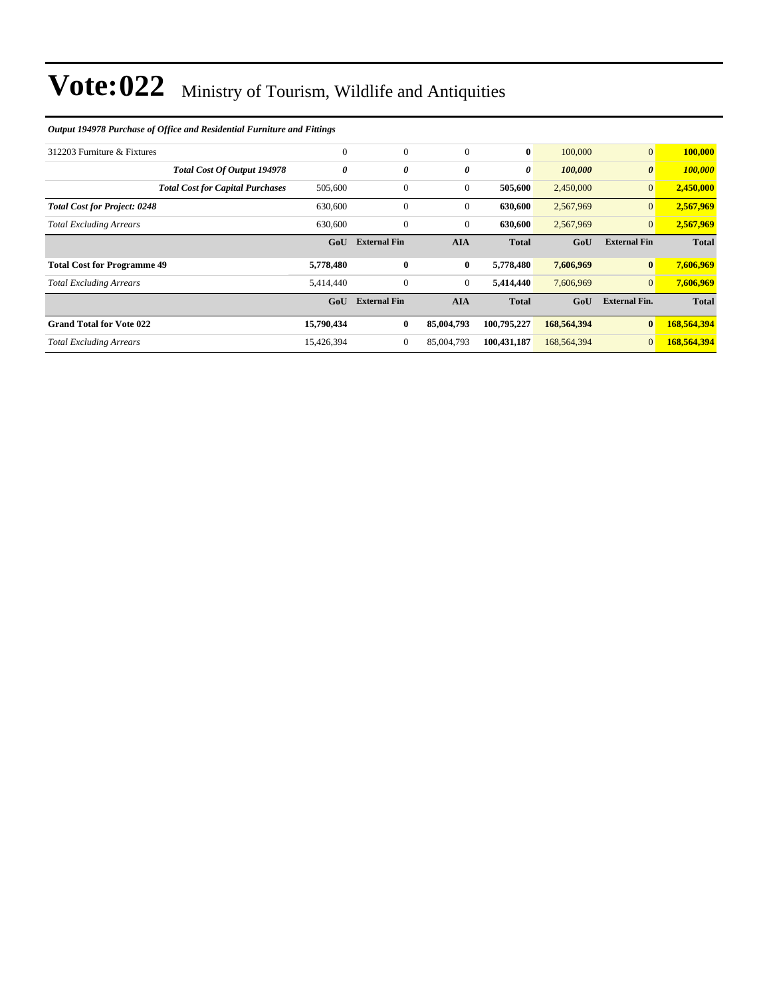#### *Output 194978 Purchase of Office and Residential Furniture and Fittings*

| 312203 Furniture & Fixtures             | $\mathbf{0}$          | $\mathbf{0}$        | $\mathbf{0}$     | $\bf{0}$     | 100,000     | $\vert 0 \vert$       | 100,000      |
|-----------------------------------------|-----------------------|---------------------|------------------|--------------|-------------|-----------------------|--------------|
| <b>Total Cost Of Output 194978</b>      | $\boldsymbol{\theta}$ | 0                   | 0                | $\theta$     | 100,000     | $\boldsymbol{\theta}$ | 100,000      |
| <b>Total Cost for Capital Purchases</b> | 505,600               | $\mathbf{0}$        | $\mathbf{0}$     | 505,600      | 2,450,000   | 0                     | 2,450,000    |
| <b>Total Cost for Project: 0248</b>     | 630,600               | $\mathbf{0}$        | $\mathbf{0}$     | 630,600      | 2,567,969   | $\vert 0 \vert$       | 2,567,969    |
| <b>Total Excluding Arrears</b>          | 630,600               | $\boldsymbol{0}$    | $\mathbf{0}$     | 630,600      | 2,567,969   | 0                     | 2,567,969    |
|                                         | GoU                   | <b>External Fin</b> | <b>AIA</b>       | <b>Total</b> | GoU         | <b>External Fin</b>   | <b>Total</b> |
| <b>Total Cost for Programme 49</b>      | 5,778,480             | $\bf{0}$            | $\bf{0}$         | 5,778,480    | 7,606,969   | $\mathbf{0}$          | 7,606,969    |
| <b>Total Excluding Arrears</b>          | 5,414,440             | $\boldsymbol{0}$    | $\boldsymbol{0}$ | 5,414,440    | 7,606,969   | $\vert 0 \vert$       | 7,606,969    |
|                                         | GoU                   | <b>External Fin</b> | <b>AIA</b>       | <b>Total</b> | GoU         | <b>External Fin.</b>  | <b>Total</b> |
| <b>Grand Total for Vote 022</b>         | 15,790,434            | $\bf{0}$            | 85,004,793       | 100,795,227  | 168,564,394 | $\bf{0}$              | 168,564,394  |
|                                         |                       |                     |                  |              |             |                       |              |